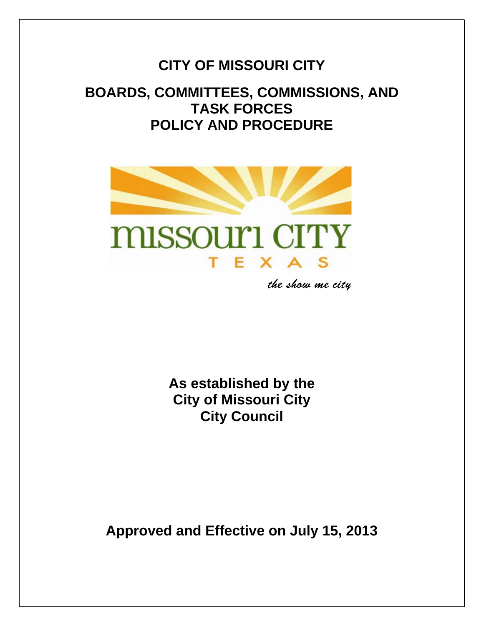# **CITY OF MISSOURI CITY**

# **BOARDS, COMMITTEES, COMMISSIONS, AND TASK FORCES POLICY AND PROCEDURE**



the show me city

**As established by the City of Missouri City City Council** 

**Approved and Effective on July 15, 2013**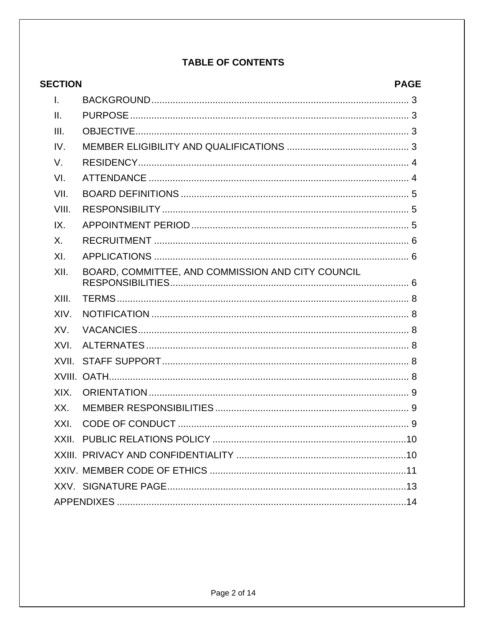| <b>SECTION</b> | <b>PAGE</b>                                       |
|----------------|---------------------------------------------------|
| I.             |                                                   |
| II.            |                                                   |
| III.           |                                                   |
| IV.            |                                                   |
| V.             |                                                   |
| VI.            |                                                   |
| VII.           |                                                   |
| VIII.          |                                                   |
| IX.            |                                                   |
| Χ.             |                                                   |
| XI.            |                                                   |
| XII.           | BOARD, COMMITTEE, AND COMMISSION AND CITY COUNCIL |
| XIII.          |                                                   |
| XIV.           |                                                   |
| XV.            |                                                   |
| XVI.           |                                                   |
| XVII.          |                                                   |
|                |                                                   |
| XIX.           |                                                   |
| XX.            |                                                   |
| XXI.           |                                                   |
|                |                                                   |
|                |                                                   |
|                |                                                   |
|                |                                                   |
|                |                                                   |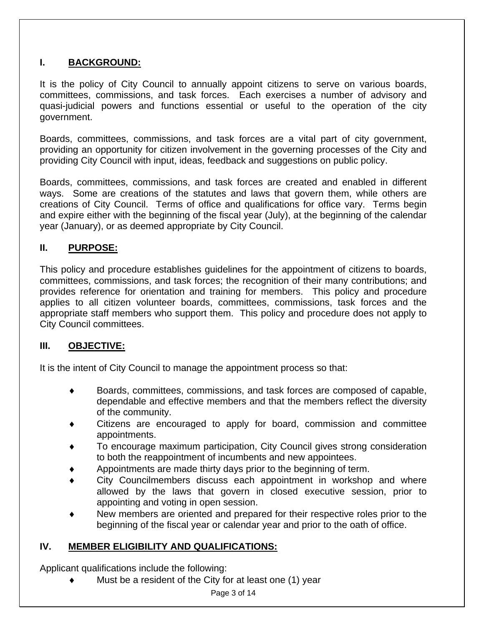# **I. BACKGROUND:**

It is the policy of City Council to annually appoint citizens to serve on various boards, committees, commissions, and task forces. Each exercises a number of advisory and quasi-judicial powers and functions essential or useful to the operation of the city government.

Boards, committees, commissions, and task forces are a vital part of city government, providing an opportunity for citizen involvement in the governing processes of the City and providing City Council with input, ideas, feedback and suggestions on public policy.

Boards, committees, commissions, and task forces are created and enabled in different ways. Some are creations of the statutes and laws that govern them, while others are creations of City Council. Terms of office and qualifications for office vary. Terms begin and expire either with the beginning of the fiscal year (July), at the beginning of the calendar year (January), or as deemed appropriate by City Council.

# **II. PURPOSE:**

This policy and procedure establishes guidelines for the appointment of citizens to boards, committees, commissions, and task forces; the recognition of their many contributions; and provides reference for orientation and training for members. This policy and procedure applies to all citizen volunteer boards, committees, commissions, task forces and the appropriate staff members who support them. This policy and procedure does not apply to City Council committees.

# **III. OBJECTIVE:**

It is the intent of City Council to manage the appointment process so that:

- Boards, committees, commissions, and task forces are composed of capable, dependable and effective members and that the members reflect the diversity of the community.
- Citizens are encouraged to apply for board, commission and committee appointments.
- To encourage maximum participation, City Council gives strong consideration to both the reappointment of incumbents and new appointees.
- Appointments are made thirty days prior to the beginning of term.
- City Councilmembers discuss each appointment in workshop and where allowed by the laws that govern in closed executive session, prior to appointing and voting in open session.
- New members are oriented and prepared for their respective roles prior to the beginning of the fiscal year or calendar year and prior to the oath of office.

# **IV. MEMBER ELIGIBILITY AND QUALIFICATIONS:**

Applicant qualifications include the following:

Must be a resident of the City for at least one (1) year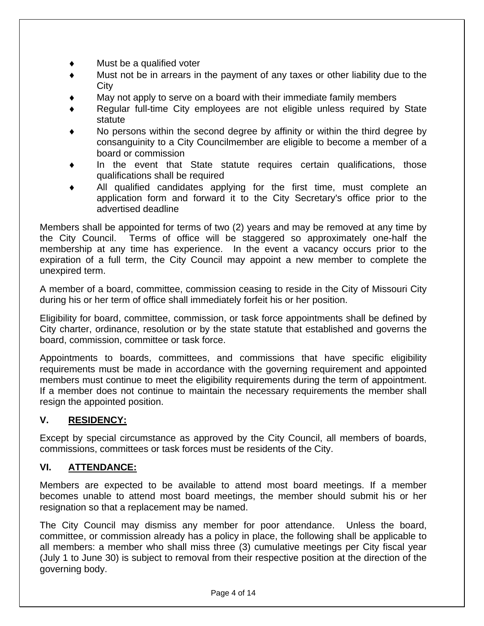- Must be a qualified voter
- Must not be in arrears in the payment of any taxes or other liability due to the **City**
- May not apply to serve on a board with their immediate family members
- Regular full-time City employees are not eligible unless required by State statute
- No persons within the second degree by affinity or within the third degree by consanguinity to a City Councilmember are eligible to become a member of a board or commission
- In the event that State statute requires certain qualifications, those qualifications shall be required
- All qualified candidates applying for the first time, must complete an application form and forward it to the City Secretary's office prior to the advertised deadline

Members shall be appointed for terms of two (2) years and may be removed at any time by the City Council. Terms of office will be staggered so approximately one-half the membership at any time has experience. In the event a vacancy occurs prior to the expiration of a full term, the City Council may appoint a new member to complete the unexpired term.

A member of a board, committee, commission ceasing to reside in the City of Missouri City during his or her term of office shall immediately forfeit his or her position.

Eligibility for board, committee, commission, or task force appointments shall be defined by City charter, ordinance, resolution or by the state statute that established and governs the board, commission, committee or task force.

Appointments to boards, committees, and commissions that have specific eligibility requirements must be made in accordance with the governing requirement and appointed members must continue to meet the eligibility requirements during the term of appointment. If a member does not continue to maintain the necessary requirements the member shall resign the appointed position.

# **V. RESIDENCY:**

Except by special circumstance as approved by the City Council, all members of boards, commissions, committees or task forces must be residents of the City.

# **VI. ATTENDANCE:**

Members are expected to be available to attend most board meetings. If a member becomes unable to attend most board meetings, the member should submit his or her resignation so that a replacement may be named.

The City Council may dismiss any member for poor attendance. Unless the board, committee, or commission already has a policy in place, the following shall be applicable to all members: a member who shall miss three (3) cumulative meetings per City fiscal year (July 1 to June 30) is subject to removal from their respective position at the direction of the governing body.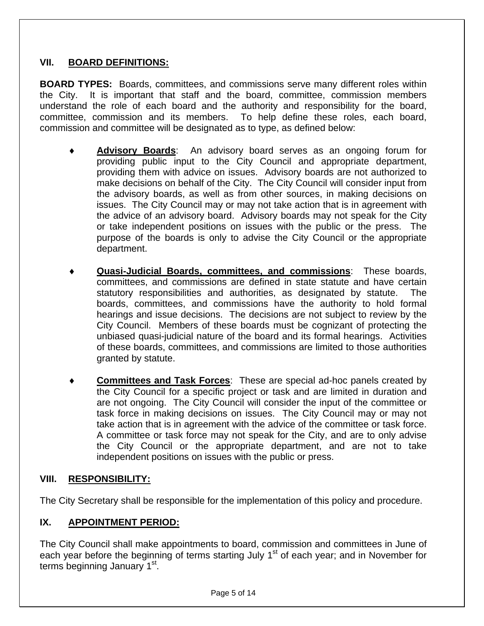# **VII. BOARD DEFINITIONS:**

**BOARD TYPES:** Boards, committees, and commissions serve many different roles within the City. It is important that staff and the board, committee, commission members understand the role of each board and the authority and responsibility for the board, committee, commission and its members. To help define these roles, each board, commission and committee will be designated as to type, as defined below:

- **Advisory Boards**: An advisory board serves as an ongoing forum for providing public input to the City Council and appropriate department, providing them with advice on issues. Advisory boards are not authorized to make decisions on behalf of the City. The City Council will consider input from the advisory boards, as well as from other sources, in making decisions on issues. The City Council may or may not take action that is in agreement with the advice of an advisory board. Advisory boards may not speak for the City or take independent positions on issues with the public or the press. The purpose of the boards is only to advise the City Council or the appropriate department.
- **Quasi-Judicial Boards, committees, and commissions**: These boards, committees, and commissions are defined in state statute and have certain statutory responsibilities and authorities, as designated by statute. The boards, committees, and commissions have the authority to hold formal hearings and issue decisions. The decisions are not subject to review by the City Council. Members of these boards must be cognizant of protecting the unbiased quasi-judicial nature of the board and its formal hearings. Activities of these boards, committees, and commissions are limited to those authorities granted by statute.
- **Committees and Task Forces**: These are special ad-hoc panels created by the City Council for a specific project or task and are limited in duration and are not ongoing. The City Council will consider the input of the committee or task force in making decisions on issues. The City Council may or may not take action that is in agreement with the advice of the committee or task force. A committee or task force may not speak for the City, and are to only advise the City Council or the appropriate department, and are not to take independent positions on issues with the public or press.

# **VIII. RESPONSIBILITY:**

The City Secretary shall be responsible for the implementation of this policy and procedure.

# **IX. APPOINTMENT PERIOD:**

The City Council shall make appointments to board, commission and committees in June of each year before the beginning of terms starting July 1<sup>st</sup> of each year; and in November for terms beginning January 1<sup>st</sup>.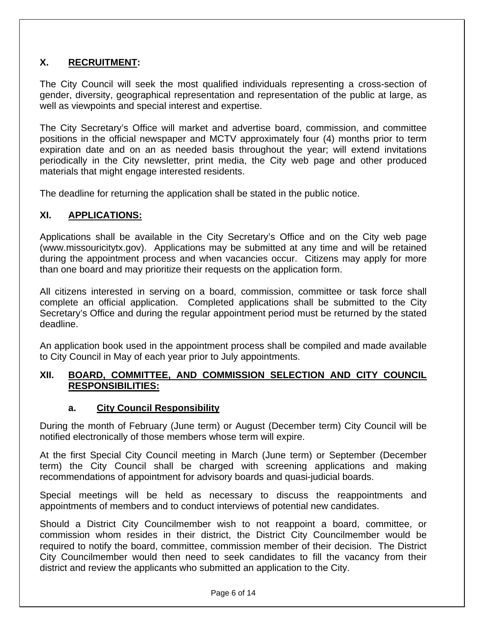# **X. RECRUITMENT:**

The City Council will seek the most qualified individuals representing a cross-section of gender, diversity, geographical representation and representation of the public at large, as well as viewpoints and special interest and expertise.

The City Secretary's Office will market and advertise board, commission, and committee positions in the official newspaper and MCTV approximately four (4) months prior to term expiration date and on an as needed basis throughout the year; will extend invitations periodically in the City newsletter, print media, the City web page and other produced materials that might engage interested residents.

The deadline for returning the application shall be stated in the public notice.

# **XI. APPLICATIONS:**

Applications shall be available in the City Secretary's Office and on the City web page (www.missouricitytx.gov). Applications may be submitted at any time and will be retained during the appointment process and when vacancies occur. Citizens may apply for more than one board and may prioritize their requests on the application form.

All citizens interested in serving on a board, commission, committee or task force shall complete an official application. Completed applications shall be submitted to the City Secretary's Office and during the regular appointment period must be returned by the stated deadline.

An application book used in the appointment process shall be compiled and made available to City Council in May of each year prior to July appointments.

# **XII. BOARD, COMMITTEE, AND COMMISSION SELECTION AND CITY COUNCIL RESPONSIBILITIES:**

# **a. City Council Responsibility**

During the month of February (June term) or August (December term) City Council will be notified electronically of those members whose term will expire.

At the first Special City Council meeting in March (June term) or September (December term) the City Council shall be charged with screening applications and making recommendations of appointment for advisory boards and quasi-judicial boards.

Special meetings will be held as necessary to discuss the reappointments and appointments of members and to conduct interviews of potential new candidates.

Should a District City Councilmember wish to not reappoint a board, committee, or commission whom resides in their district, the District City Councilmember would be required to notify the board, committee, commission member of their decision. The District City Councilmember would then need to seek candidates to fill the vacancy from their district and review the applicants who submitted an application to the City.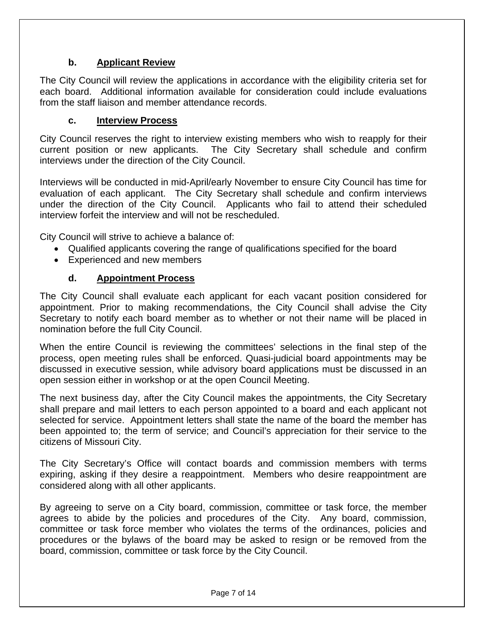# **b. Applicant Review**

The City Council will review the applications in accordance with the eligibility criteria set for each board. Additional information available for consideration could include evaluations from the staff liaison and member attendance records.

# **c. Interview Process**

City Council reserves the right to interview existing members who wish to reapply for their current position or new applicants. The City Secretary shall schedule and confirm interviews under the direction of the City Council.

Interviews will be conducted in mid-April/early November to ensure City Council has time for evaluation of each applicant. The City Secretary shall schedule and confirm interviews under the direction of the City Council. Applicants who fail to attend their scheduled interview forfeit the interview and will not be rescheduled.

City Council will strive to achieve a balance of:

- Qualified applicants covering the range of qualifications specified for the board
- Experienced and new members

# **d. Appointment Process**

The City Council shall evaluate each applicant for each vacant position considered for appointment. Prior to making recommendations, the City Council shall advise the City Secretary to notify each board member as to whether or not their name will be placed in nomination before the full City Council.

When the entire Council is reviewing the committees' selections in the final step of the process, open meeting rules shall be enforced. Quasi-judicial board appointments may be discussed in executive session, while advisory board applications must be discussed in an open session either in workshop or at the open Council Meeting.

The next business day, after the City Council makes the appointments, the City Secretary shall prepare and mail letters to each person appointed to a board and each applicant not selected for service. Appointment letters shall state the name of the board the member has been appointed to; the term of service; and Council's appreciation for their service to the citizens of Missouri City.

The City Secretary's Office will contact boards and commission members with terms expiring, asking if they desire a reappointment. Members who desire reappointment are considered along with all other applicants.

By agreeing to serve on a City board, commission, committee or task force, the member agrees to abide by the policies and procedures of the City. Any board, commission, committee or task force member who violates the terms of the ordinances, policies and procedures or the bylaws of the board may be asked to resign or be removed from the board, commission, committee or task force by the City Council.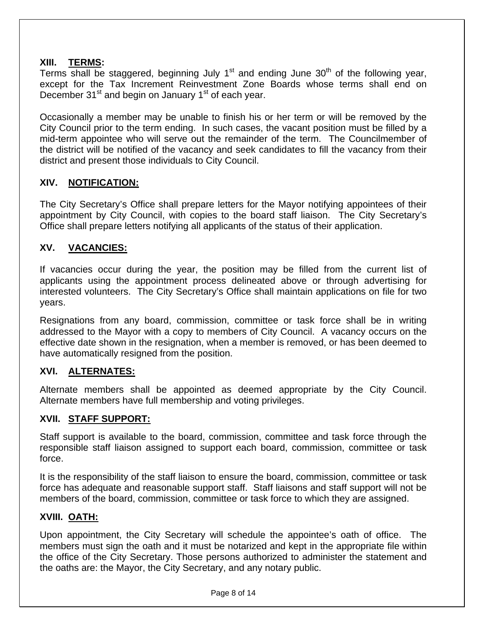# **XIII. TERMS:**

Terms shall be staggered, beginning July  $1<sup>st</sup>$  and ending June  $30<sup>th</sup>$  of the following year, except for the Tax Increment Reinvestment Zone Boards whose terms shall end on December  $31<sup>st</sup>$  and begin on January  $1<sup>st</sup>$  of each year.

Occasionally a member may be unable to finish his or her term or will be removed by the City Council prior to the term ending. In such cases, the vacant position must be filled by a mid-term appointee who will serve out the remainder of the term. The Councilmember of the district will be notified of the vacancy and seek candidates to fill the vacancy from their district and present those individuals to City Council.

# **XIV. NOTIFICATION:**

The City Secretary's Office shall prepare letters for the Mayor notifying appointees of their appointment by City Council, with copies to the board staff liaison. The City Secretary's Office shall prepare letters notifying all applicants of the status of their application.

# **XV. VACANCIES:**

If vacancies occur during the year, the position may be filled from the current list of applicants using the appointment process delineated above or through advertising for interested volunteers. The City Secretary's Office shall maintain applications on file for two years.

Resignations from any board, commission, committee or task force shall be in writing addressed to the Mayor with a copy to members of City Council. A vacancy occurs on the effective date shown in the resignation, when a member is removed, or has been deemed to have automatically resigned from the position.

# **XVI. ALTERNATES:**

Alternate members shall be appointed as deemed appropriate by the City Council. Alternate members have full membership and voting privileges.

# **XVII. STAFF SUPPORT:**

Staff support is available to the board, commission, committee and task force through the responsible staff liaison assigned to support each board, commission, committee or task force.

It is the responsibility of the staff liaison to ensure the board, commission, committee or task force has adequate and reasonable support staff. Staff liaisons and staff support will not be members of the board, commission, committee or task force to which they are assigned.

# **XVIII. OATH:**

Upon appointment, the City Secretary will schedule the appointee's oath of office. The members must sign the oath and it must be notarized and kept in the appropriate file within the office of the City Secretary. Those persons authorized to administer the statement and the oaths are: the Mayor, the City Secretary, and any notary public.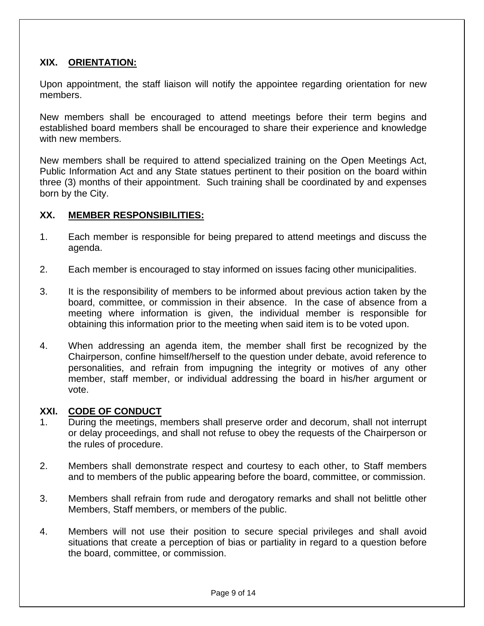# **XIX. ORIENTATION:**

Upon appointment, the staff liaison will notify the appointee regarding orientation for new members.

New members shall be encouraged to attend meetings before their term begins and established board members shall be encouraged to share their experience and knowledge with new members.

New members shall be required to attend specialized training on the Open Meetings Act, Public Information Act and any State statues pertinent to their position on the board within three (3) months of their appointment. Such training shall be coordinated by and expenses born by the City.

# **XX. MEMBER RESPONSIBILITIES:**

- 1. Each member is responsible for being prepared to attend meetings and discuss the agenda.
- 2. Each member is encouraged to stay informed on issues facing other municipalities.
- 3. It is the responsibility of members to be informed about previous action taken by the board, committee, or commission in their absence. In the case of absence from a meeting where information is given, the individual member is responsible for obtaining this information prior to the meeting when said item is to be voted upon.
- 4. When addressing an agenda item, the member shall first be recognized by the Chairperson, confine himself/herself to the question under debate, avoid reference to personalities, and refrain from impugning the integrity or motives of any other member, staff member, or individual addressing the board in his/her argument or vote.

# **XXI. CODE OF CONDUCT**

- 1. During the meetings, members shall preserve order and decorum, shall not interrupt or delay proceedings, and shall not refuse to obey the requests of the Chairperson or the rules of procedure.
- 2. Members shall demonstrate respect and courtesy to each other, to Staff members and to members of the public appearing before the board, committee, or commission.
- 3. Members shall refrain from rude and derogatory remarks and shall not belittle other Members, Staff members, or members of the public.
- 4. Members will not use their position to secure special privileges and shall avoid situations that create a perception of bias or partiality in regard to a question before the board, committee, or commission.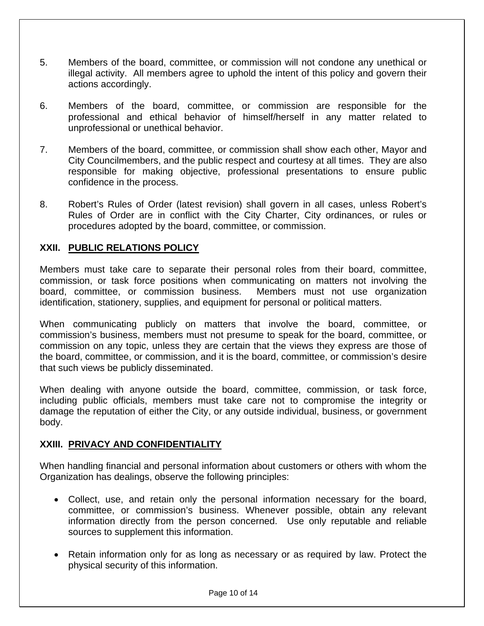- 5. Members of the board, committee, or commission will not condone any unethical or illegal activity. All members agree to uphold the intent of this policy and govern their actions accordingly.
- 6. Members of the board, committee, or commission are responsible for the professional and ethical behavior of himself/herself in any matter related to unprofessional or unethical behavior.
- 7. Members of the board, committee, or commission shall show each other, Mayor and City Councilmembers, and the public respect and courtesy at all times. They are also responsible for making objective, professional presentations to ensure public confidence in the process.
- 8. Robert's Rules of Order (latest revision) shall govern in all cases, unless Robert's Rules of Order are in conflict with the City Charter, City ordinances, or rules or procedures adopted by the board, committee, or commission.

# **XXII. PUBLIC RELATIONS POLICY**

Members must take care to separate their personal roles from their board, committee, commission, or task force positions when communicating on matters not involving the board, committee, or commission business. Members must not use organization identification, stationery, supplies, and equipment for personal or political matters.

When communicating publicly on matters that involve the board, committee, or commission's business, members must not presume to speak for the board, committee, or commission on any topic, unless they are certain that the views they express are those of the board, committee, or commission, and it is the board, committee, or commission's desire that such views be publicly disseminated.

When dealing with anyone outside the board, committee, commission, or task force, including public officials, members must take care not to compromise the integrity or damage the reputation of either the City, or any outside individual, business, or government body.

# **XXIII. PRIVACY AND CONFIDENTIALITY**

When handling financial and personal information about customers or others with whom the Organization has dealings, observe the following principles:

- Collect, use, and retain only the personal information necessary for the board, committee, or commission's business. Whenever possible, obtain any relevant information directly from the person concerned. Use only reputable and reliable sources to supplement this information.
- Retain information only for as long as necessary or as required by law. Protect the physical security of this information.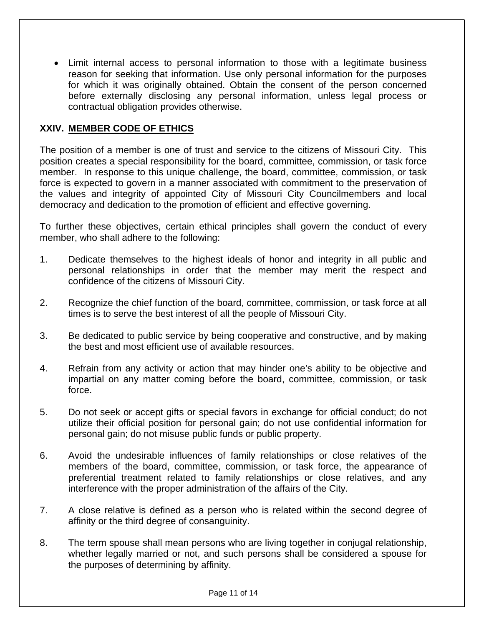Limit internal access to personal information to those with a legitimate business reason for seeking that information. Use only personal information for the purposes for which it was originally obtained. Obtain the consent of the person concerned before externally disclosing any personal information, unless legal process or contractual obligation provides otherwise.

# **XXIV. MEMBER CODE OF ETHICS**

The position of a member is one of trust and service to the citizens of Missouri City. This position creates a special responsibility for the board, committee, commission, or task force member. In response to this unique challenge, the board, committee, commission, or task force is expected to govern in a manner associated with commitment to the preservation of the values and integrity of appointed City of Missouri City Councilmembers and local democracy and dedication to the promotion of efficient and effective governing.

To further these objectives, certain ethical principles shall govern the conduct of every member, who shall adhere to the following:

- 1. Dedicate themselves to the highest ideals of honor and integrity in all public and personal relationships in order that the member may merit the respect and confidence of the citizens of Missouri City.
- 2. Recognize the chief function of the board, committee, commission, or task force at all times is to serve the best interest of all the people of Missouri City.
- 3. Be dedicated to public service by being cooperative and constructive, and by making the best and most efficient use of available resources.
- 4. Refrain from any activity or action that may hinder one's ability to be objective and impartial on any matter coming before the board, committee, commission, or task force.
- 5. Do not seek or accept gifts or special favors in exchange for official conduct; do not utilize their official position for personal gain; do not use confidential information for personal gain; do not misuse public funds or public property.
- 6. Avoid the undesirable influences of family relationships or close relatives of the members of the board, committee, commission, or task force, the appearance of preferential treatment related to family relationships or close relatives, and any interference with the proper administration of the affairs of the City.
- 7. A close relative is defined as a person who is related within the second degree of affinity or the third degree of consanguinity.
- 8. The term spouse shall mean persons who are living together in conjugal relationship, whether legally married or not, and such persons shall be considered a spouse for the purposes of determining by affinity.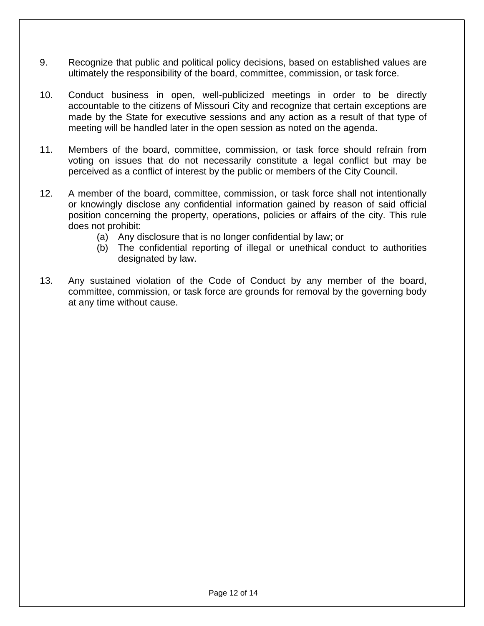- 9. Recognize that public and political policy decisions, based on established values are ultimately the responsibility of the board, committee, commission, or task force.
- 10. Conduct business in open, well-publicized meetings in order to be directly accountable to the citizens of Missouri City and recognize that certain exceptions are made by the State for executive sessions and any action as a result of that type of meeting will be handled later in the open session as noted on the agenda.
- 11. Members of the board, committee, commission, or task force should refrain from voting on issues that do not necessarily constitute a legal conflict but may be perceived as a conflict of interest by the public or members of the City Council.
- 12. A member of the board, committee, commission, or task force shall not intentionally or knowingly disclose any confidential information gained by reason of said official position concerning the property, operations, policies or affairs of the city. This rule does not prohibit:
	- (a) Any disclosure that is no longer confidential by law; or
	- (b) The confidential reporting of illegal or unethical conduct to authorities designated by law.
- 13. Any sustained violation of the Code of Conduct by any member of the board, committee, commission, or task force are grounds for removal by the governing body at any time without cause.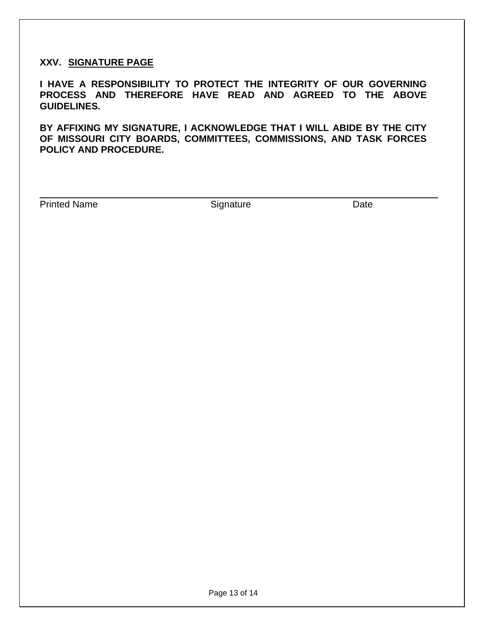# **XXV. SIGNATURE PAGE**

**I HAVE A RESPONSIBILITY TO PROTECT THE INTEGRITY OF OUR GOVERNING PROCESS AND THEREFORE HAVE READ AND AGREED TO THE ABOVE GUIDELINES.** 

**BY AFFIXING MY SIGNATURE, I ACKNOWLEDGE THAT I WILL ABIDE BY THE CITY OF MISSOURI CITY BOARDS, COMMITTEES, COMMISSIONS, AND TASK FORCES POLICY AND PROCEDURE.** 

Printed Name **Signature** Signature Date

 $\overline{a}$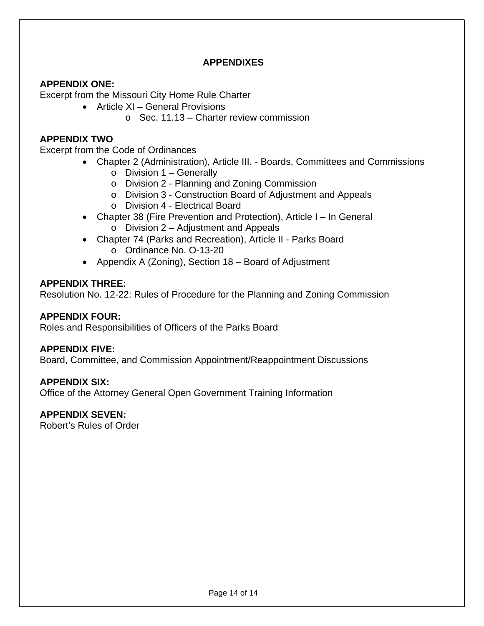# **APPENDIXES**

# **APPENDIX ONE:**

Excerpt from the Missouri City Home Rule Charter

- Article XI General Provisions
	- o Sec. 11.13 Charter review commission

# **APPENDIX TWO**

Excerpt from the Code of Ordinances

- Chapter 2 (Administration), Article III. Boards, Committees and Commissions
	- $\circ$  Division 1 Generally
	- o Division 2 Planning and Zoning Commission
	- o Division 3 Construction Board of Adjustment and Appeals
	- o Division 4 Electrical Board
- Chapter 38 (Fire Prevention and Protection), Article I In General
	- o Division 2 Adjustment and Appeals
- Chapter 74 (Parks and Recreation), Article II Parks Board o Ordinance No. O-13-20
- Appendix A (Zoning), Section 18 Board of Adjustment

# **APPENDIX THREE:**

Resolution No. 12-22: Rules of Procedure for the Planning and Zoning Commission

# **APPENDIX FOUR:**

Roles and Responsibilities of Officers of the Parks Board

# **APPENDIX FIVE:**

Board, Committee, and Commission Appointment/Reappointment Discussions

# **APPENDIX SIX:**

Office of the Attorney General Open Government Training Information

# **APPENDIX SEVEN:**

Robert's Rules of Order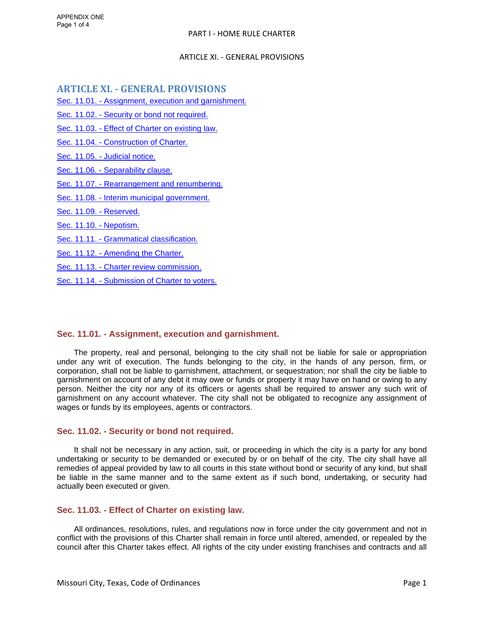## **ARTICLE XI. GENERAL PROVISIONS**

- Sec. 11.01. Assignment, execution and garnishment.
- Sec. 11.02. Security or bond not required.
- Sec. 11.03. Effect of Charter on existing law.
- Sec. 11.04. Construction of Charter.
- Sec. 11.05. Judicial notice.
- Sec. 11.06. Separability clause.
- Sec. 11.07. Rearrangement and renumbering.
- Sec. 11.08. Interim municipal government.
- Sec. 11.09. Reserved.
- Sec. 11.10. Nepotism.
- Sec. 11.11. Grammatical classification.
- Sec. 11.12. Amending the Charter.
- Sec. 11.13. Charter review commission.
- Sec. 11.14. Submission of Charter to voters.

## **Sec. 11.01. - Assignment, execution and garnishment.**

The property, real and personal, belonging to the city shall not be liable for sale or appropriation under any writ of execution. The funds belonging to the city, in the hands of any person, firm, or corporation, shall not be liable to garnishment, attachment, or sequestration; nor shall the city be liable to garnishment on account of any debt it may owe or funds or property it may have on hand or owing to any person. Neither the city nor any of its officers or agents shall be required to answer any such writ of garnishment on any account whatever. The city shall not be obligated to recognize any assignment of wages or funds by its employees, agents or contractors.

## **Sec. 11.02. - Security or bond not required.**

It shall not be necessary in any action, suit, or proceeding in which the city is a party for any bond undertaking or security to be demanded or executed by or on behalf of the city. The city shall have all remedies of appeal provided by law to all courts in this state without bond or security of any kind, but shall be liable in the same manner and to the same extent as if such bond, undertaking, or security had actually been executed or given.

## **Sec. 11.03. - Effect of Charter on existing law.**

All ordinances, resolutions, rules, and regulations now in force under the city government and not in conflict with the provisions of this Charter shall remain in force until altered, amended, or repealed by the council after this Charter takes effect. All rights of the city under existing franchises and contracts and all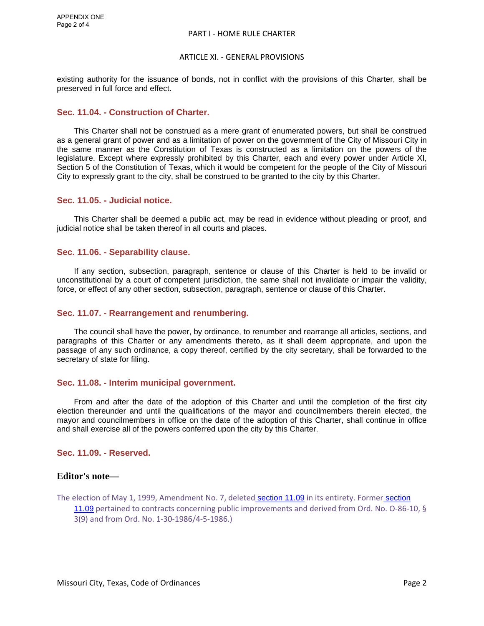existing authority for the issuance of bonds, not in conflict with the provisions of this Charter, shall be preserved in full force and effect.

## **Sec. 11.04. - Construction of Charter.**

This Charter shall not be construed as a mere grant of enumerated powers, but shall be construed as a general grant of power and as a limitation of power on the government of the City of Missouri City in the same manner as the Constitution of Texas is constructed as a limitation on the powers of the legislature. Except where expressly prohibited by this Charter, each and every power under Article XI, Section 5 of the Constitution of Texas, which it would be competent for the people of the City of Missouri City to expressly grant to the city, shall be construed to be granted to the city by this Charter.

## **Sec. 11.05. - Judicial notice.**

This Charter shall be deemed a public act, may be read in evidence without pleading or proof, and judicial notice shall be taken thereof in all courts and places.

## **Sec. 11.06. - Separability clause.**

If any section, subsection, paragraph, sentence or clause of this Charter is held to be invalid or unconstitutional by a court of competent jurisdiction, the same shall not invalidate or impair the validity, force, or effect of any other section, subsection, paragraph, sentence or clause of this Charter.

## **Sec. 11.07. - Rearrangement and renumbering.**

The council shall have the power, by ordinance, to renumber and rearrange all articles, sections, and paragraphs of this Charter or any amendments thereto, as it shall deem appropriate, and upon the passage of any such ordinance, a copy thereof, certified by the city secretary, shall be forwarded to the secretary of state for filing.

## **Sec. 11.08. - Interim municipal government.**

From and after the date of the adoption of this Charter and until the completion of the first city election thereunder and until the qualifications of the mayor and councilmembers therein elected, the mayor and councilmembers in office on the date of the adoption of this Charter, shall continue in office and shall exercise all of the powers conferred upon the city by this Charter.

## **Sec. 11.09. - Reserved.**

## **Editor's note—**

The election of May 1, 1999, Amendment No. 7, deleted section 11.09 in its entirety. Former section 11.09 pertained to contracts concerning public improvements and derived from Ord. No. O‐86‐10, § 3(9) and from Ord. No. 1‐30‐1986/4‐5‐1986.)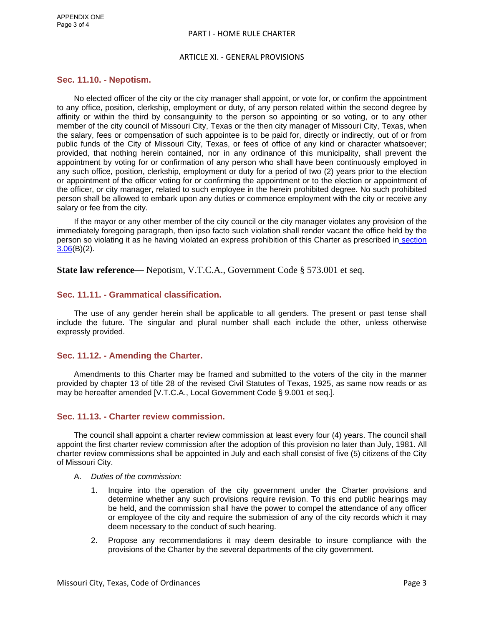## **Sec. 11.10. - Nepotism.**

No elected officer of the city or the city manager shall appoint, or vote for, or confirm the appointment to any office, position, clerkship, employment or duty, of any person related within the second degree by affinity or within the third by consanguinity to the person so appointing or so voting, or to any other member of the city council of Missouri City, Texas or the then city manager of Missouri City, Texas, when the salary, fees or compensation of such appointee is to be paid for, directly or indirectly, out of or from public funds of the City of Missouri City, Texas, or fees of office of any kind or character whatsoever; provided, that nothing herein contained, nor in any ordinance of this municipality, shall prevent the appointment by voting for or confirmation of any person who shall have been continuously employed in any such office, position, clerkship, employment or duty for a period of two (2) years prior to the election or appointment of the officer voting for or confirming the appointment or to the election or appointment of the officer, or city manager, related to such employee in the herein prohibited degree. No such prohibited person shall be allowed to embark upon any duties or commence employment with the city or receive any salary or fee from the city.

If the mayor or any other member of the city council or the city manager violates any provision of the immediately foregoing paragraph, then ipso facto such violation shall render vacant the office held by the person so violating it as he having violated an express prohibition of this Charter as prescribed in section  $3.06(B)(2)$ .

**State law reference—** Nepotism, V.T.C.A., Government Code § 573.001 et seq.

## **Sec. 11.11. - Grammatical classification.**

The use of any gender herein shall be applicable to all genders. The present or past tense shall include the future. The singular and plural number shall each include the other, unless otherwise expressly provided.

## **Sec. 11.12. - Amending the Charter.**

Amendments to this Charter may be framed and submitted to the voters of the city in the manner provided by chapter 13 of title 28 of the revised Civil Statutes of Texas, 1925, as same now reads or as may be hereafter amended [V.T.C.A., Local Government Code § 9.001 et seq.].

## **Sec. 11.13. - Charter review commission.**

The council shall appoint a charter review commission at least every four (4) years. The council shall appoint the first charter review commission after the adoption of this provision no later than July, 1981. All charter review commissions shall be appointed in July and each shall consist of five (5) citizens of the City of Missouri City.

- A. *Duties of the commission:*
	- 1. Inquire into the operation of the city government under the Charter provisions and determine whether any such provisions require revision. To this end public hearings may be held, and the commission shall have the power to compel the attendance of any officer or employee of the city and require the submission of any of the city records which it may deem necessary to the conduct of such hearing.
	- 2. Propose any recommendations it may deem desirable to insure compliance with the provisions of the Charter by the several departments of the city government.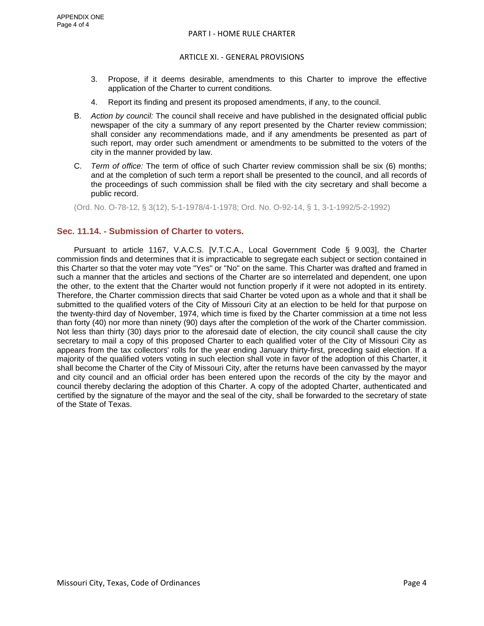- 3. Propose, if it deems desirable, amendments to this Charter to improve the effective application of the Charter to current conditions.
- 4. Report its finding and present its proposed amendments, if any, to the council.
- B. *Action by council:* The council shall receive and have published in the designated official public newspaper of the city a summary of any report presented by the Charter review commission; shall consider any recommendations made, and if any amendments be presented as part of such report, may order such amendment or amendments to be submitted to the voters of the city in the manner provided by law.
- C. *Term of office:* The term of office of such Charter review commission shall be six (6) months; and at the completion of such term a report shall be presented to the council, and all records of the proceedings of such commission shall be filed with the city secretary and shall become a public record.

(Ord. No. O-78-12, § 3(12), 5-1-1978/4-1-1978; Ord. No. O-92-14, § 1, 3-1-1992/5-2-1992)

## **Sec. 11.14. - Submission of Charter to voters.**

Pursuant to article 1167, V.A.C.S. [V.T.C.A., Local Government Code § 9.003], the Charter commission finds and determines that it is impracticable to segregate each subject or section contained in this Charter so that the voter may vote "Yes" or "No" on the same. This Charter was drafted and framed in such a manner that the articles and sections of the Charter are so interrelated and dependent, one upon the other, to the extent that the Charter would not function properly if it were not adopted in its entirety. Therefore, the Charter commission directs that said Charter be voted upon as a whole and that it shall be submitted to the qualified voters of the City of Missouri City at an election to be held for that purpose on the twenty-third day of November, 1974, which time is fixed by the Charter commission at a time not less than forty (40) nor more than ninety (90) days after the completion of the work of the Charter commission. Not less than thirty (30) days prior to the aforesaid date of election, the city council shall cause the city secretary to mail a copy of this proposed Charter to each qualified voter of the City of Missouri City as appears from the tax collectors' rolls for the year ending January thirty-first, preceding said election. If a majority of the qualified voters voting in such election shall vote in favor of the adoption of this Charter, it shall become the Charter of the City of Missouri City, after the returns have been canvassed by the mayor and city council and an official order has been entered upon the records of the city by the mayor and council thereby declaring the adoption of this Charter. A copy of the adopted Charter, authenticated and certified by the signature of the mayor and the seal of the city, shall be forwarded to the secretary of state of the State of Texas.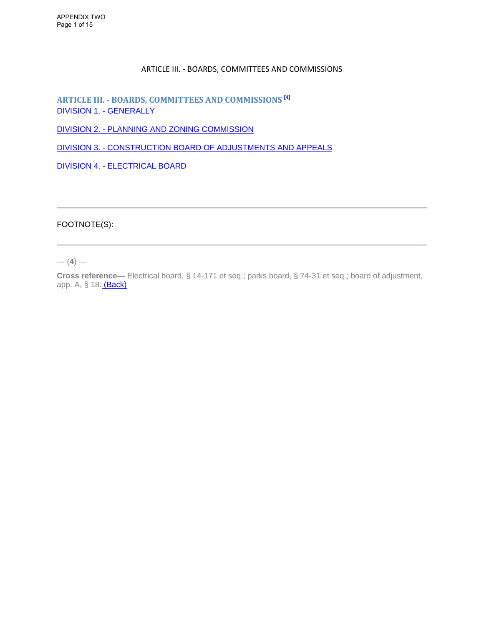<span id="page-18-0"></span>**ARTICLE III. BOARDS, COMMITTEES AND COMMISSIONS [\[4\]](#page-18-0)**  DIVISION 1. - GENERALLY

DIVISION 2. - PLANNING AND ZONING COMMISSION

DIVISION 3. - CONSTRUCTION BOARD OF ADJUSTMENTS AND APPEALS

DIVISION 4. - ELECTRICAL BOARD

FOOTNOTE(S):

--- (**4**) ---

**Cross reference—** Electrical board, § 14-171 et seq.; parks board, § 74-31 et seq.; board of adjustment, app. A, § 18. [\(Back\)](#page-18-0)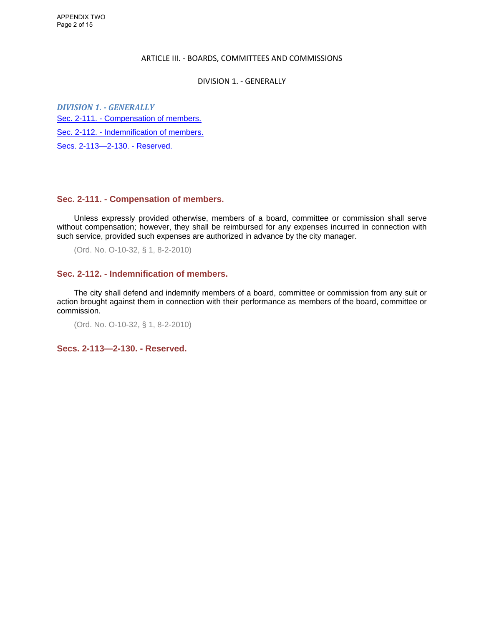## DIVISION 1. ‐ GENERALLY

*DIVISION 1. GENERALLY* [Sec. 2-111. - Compensation of members.](#page-19-0) [Sec. 2-112. - Indemnification of members.](#page-19-1) [Secs. 2-113—2-130. - Reserved.](#page-19-2)

## <span id="page-19-0"></span>**Sec. 2-111. - Compensation of members.**

Unless expressly provided otherwise, members of a board, committee or commission shall serve without compensation; however, they shall be reimbursed for any expenses incurred in connection with such service, provided such expenses are authorized in advance by the city manager.

(Ord. No. O-10-32, § 1, 8-2-2010)

## <span id="page-19-1"></span>**Sec. 2-112. - Indemnification of members.**

The city shall defend and indemnify members of a board, committee or commission from any suit or action brought against them in connection with their performance as members of the board, committee or commission.

(Ord. No. O-10-32, § 1, 8-2-2010)

<span id="page-19-2"></span>**Secs. 2-113—2-130. - Reserved.**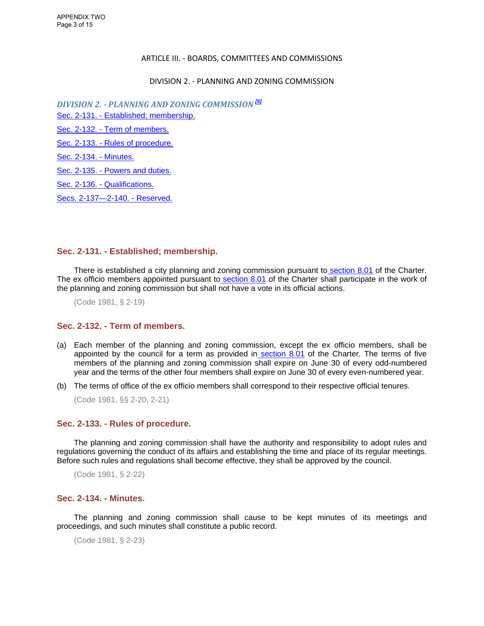## DIVISION 2. ‐ PLANNING AND ZONING COMMISSION

*DIVISION 2. PLANNING AND ZONING COMMISSION [\[5\]](#page-18-0)* 

[Sec. 2-131. - Established; membership.](#page-20-0)

[Sec. 2-132. - Term of members.](#page-20-1)

[Sec. 2-133. - Rules of procedure.](#page-20-2)

[Sec. 2-134. - Minutes.](#page-20-3)

[Sec. 2-135. - Powers and duties.](#page-21-0)

[Sec. 2-136. - Qualifications.](#page-21-1)

[Secs. 2-137—2-140. - Reserved.](#page-21-2)

## <span id="page-20-0"></span>**Sec. 2-131. - Established; membership.**

There is established a city planning and zoning commission pursuant to section 8.01 of the Charter. The ex officio members appointed pursuant to section 8.01 of the Charter shall participate in the work of the planning and zoning commission but shall not have a vote in its official actions.

(Code 1981, § 2-19)

## <span id="page-20-1"></span>**Sec. 2-132. - Term of members.**

- (a) Each member of the planning and zoning commission, except the ex officio members, shall be appointed by the council for a term as provided in section 8.01 of the Charter. The terms of five members of the planning and zoning commission shall expire on June 30 of every odd-numbered year and the terms of the other four members shall expire on June 30 of every even-numbered year.
- (b) The terms of office of the ex officio members shall correspond to their respective official tenures.

(Code 1981, §§ 2-20, 2-21)

## <span id="page-20-2"></span>**Sec. 2-133. - Rules of procedure.**

The planning and zoning commission shall have the authority and responsibility to adopt rules and regulations governing the conduct of its affairs and establishing the time and place of its regular meetings. Before such rules and regulations shall become effective, they shall be approved by the council.

(Code 1981, § 2-22)

## <span id="page-20-3"></span>**Sec. 2-134. - Minutes.**

The planning and zoning commission shall cause to be kept minutes of its meetings and proceedings, and such minutes shall constitute a public record.

(Code 1981, § 2-23)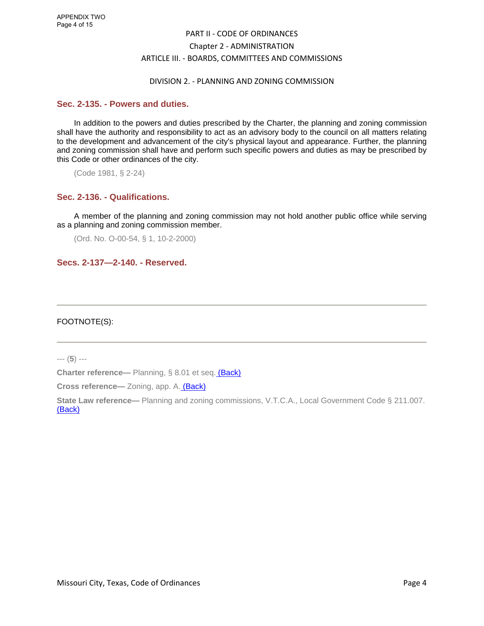APPENDIX TWO Page 4 of 15

# PART II ‐ CODE OF ORDINANCES Chapter 2 ‐ ADMINISTRATION ARTICLE III. ‐ BOARDS, COMMITTEES AND COMMISSIONS

## DIVISION 2. ‐ PLANNING AND ZONING COMMISSION

## <span id="page-21-0"></span>**Sec. 2-135. - Powers and duties.**

In addition to the powers and duties prescribed by the Charter, the planning and zoning commission shall have the authority and responsibility to act as an advisory body to the council on all matters relating to the development and advancement of the city's physical layout and appearance. Further, the planning and zoning commission shall have and perform such specific powers and duties as may be prescribed by this Code or other ordinances of the city.

(Code 1981, § 2-24)

## <span id="page-21-1"></span>**Sec. 2-136. - Qualifications.**

A member of the planning and zoning commission may not hold another public office while serving as a planning and zoning commission member.

(Ord. No. O-00-54, § 1, 10-2-2000)

## <span id="page-21-2"></span>**Secs. 2-137—2-140. - Reserved.**

## FOOTNOTE(S):

--- (**5**) ---

**Charter reference—** Planning, § 8.01 et seq[. \(Back\)](#page-18-0)

**Cross reference—** Zoning, app. A. [\(Back\)](#page-18-0)

**State Law reference—** Planning and zoning commissions, V.T.C.A., Local Government Code § 211.007. [\(Back\)](#page-18-0)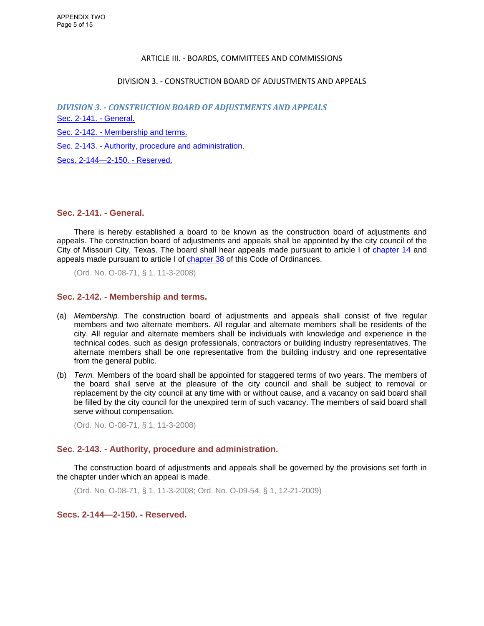## DIVISION 3. ‐ CONSTRUCTION BOARD OF ADJUSTMENTS AND APPEALS

*DIVISION 3. CONSTRUCTION BOARD OF ADJUSTMENTS AND APPEALS*

[Sec. 2-141. - General.](#page-22-0)

[Sec. 2-142. - Membership and terms.](#page-22-1)

[Sec. 2-143. - Authority, procedure and administration.](#page-22-2)

[Secs. 2-144—2-150. - Reserved.](#page-22-3)

## <span id="page-22-0"></span>**Sec. 2-141. - General.**

There is hereby established a board to be known as the construction board of adjustments and appeals. The construction board of adjustments and appeals shall be appointed by the city council of the City of Missouri City, Texas. The board shall hear appeals made pursuant to article I of chapter 14 and appeals made pursuant to article I of chapter 38 of this Code of Ordinances.

(Ord. No. O-08-71, § 1, 11-3-2008)

## <span id="page-22-1"></span>**Sec. 2-142. - Membership and terms.**

- (a) *Membership.* The construction board of adjustments and appeals shall consist of five regular members and two alternate members. All regular and alternate members shall be residents of the city. All regular and alternate members shall be individuals with knowledge and experience in the technical codes, such as design professionals, contractors or building industry representatives. The alternate members shall be one representative from the building industry and one representative from the general public.
- (b) *Term.* Members of the board shall be appointed for staggered terms of two years. The members of the board shall serve at the pleasure of the city council and shall be subject to removal or replacement by the city council at any time with or without cause, and a vacancy on said board shall be filled by the city council for the unexpired term of such vacancy. The members of said board shall serve without compensation.

(Ord. No. O-08-71, § 1, 11-3-2008)

## <span id="page-22-2"></span>**Sec. 2-143. - Authority, procedure and administration.**

The construction board of adjustments and appeals shall be governed by the provisions set forth in the chapter under which an appeal is made.

(Ord. No. O-08-71, § 1, 11-3-2008; Ord. No. O-09-54, § 1, 12-21-2009)

<span id="page-22-3"></span>**Secs. 2-144—2-150. - Reserved.**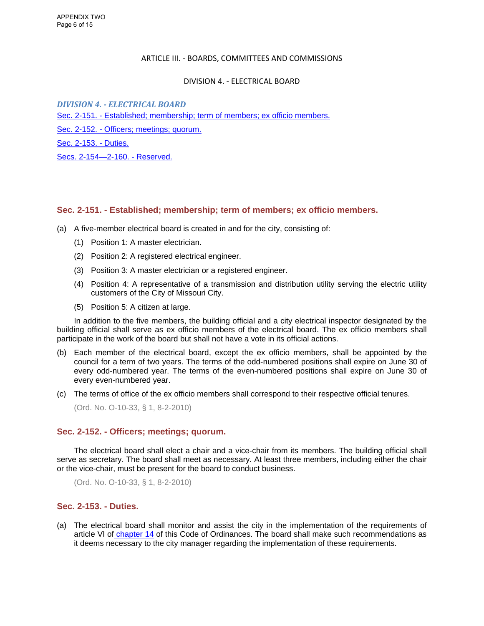## DIVISION 4. ‐ ELECTRICAL BOARD

*DIVISION 4. ELECTRICAL BOARD* [Sec. 2-151. - Established; membership; term of members; ex officio members.](#page-23-0) [Sec. 2-152. - Officers; meetings; quorum.](#page-23-1) [Sec. 2-153. - Duties.](#page-23-2) [Secs. 2-154—2-160. - Reserved.](#page-24-0)

## <span id="page-23-0"></span>**Sec. 2-151. - Established; membership; term of members; ex officio members.**

- (a) A five-member electrical board is created in and for the city, consisting of:
	- (1) Position 1: A master electrician.
	- (2) Position 2: A registered electrical engineer.
	- (3) Position 3: A master electrician or a registered engineer.
	- (4) Position 4: A representative of a transmission and distribution utility serving the electric utility customers of the City of Missouri City.
	- (5) Position 5: A citizen at large.

In addition to the five members, the building official and a city electrical inspector designated by the building official shall serve as ex officio members of the electrical board. The ex officio members shall participate in the work of the board but shall not have a vote in its official actions.

- (b) Each member of the electrical board, except the ex officio members, shall be appointed by the council for a term of two years. The terms of the odd-numbered positions shall expire on June 30 of every odd-numbered year. The terms of the even-numbered positions shall expire on June 30 of every even-numbered year.
- (c) The terms of office of the ex officio members shall correspond to their respective official tenures.

(Ord. No. O-10-33, § 1, 8-2-2010)

## <span id="page-23-1"></span>**Sec. 2-152. - Officers; meetings; quorum.**

The electrical board shall elect a chair and a vice-chair from its members. The building official shall serve as secretary. The board shall meet as necessary. At least three members, including either the chair or the vice-chair, must be present for the board to conduct business.

(Ord. No. O-10-33, § 1, 8-2-2010)

## <span id="page-23-2"></span>**Sec. 2-153. - Duties.**

(a) The electrical board shall monitor and assist the city in the implementation of the requirements of article VI of chapter 14 of this Code of Ordinances. The board shall make such recommendations as it deems necessary to the city manager regarding the implementation of these requirements.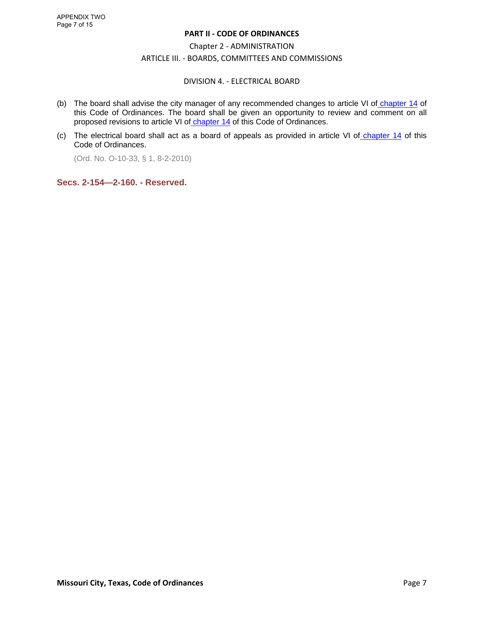## **PART II ‐ CODE OF ORDINANCES**

Chapter 2 ‐ ADMINISTRATION

## ARTICLE III. ‐ BOARDS, COMMITTEES AND COMMISSIONS

## DIVISION 4. ‐ ELECTRICAL BOARD

- (b) The board shall advise the city manager of any recommended changes to article VI of chapter 14 of this Code of Ordinances. The board shall be given an opportunity to review and comment on all proposed revisions to article VI of chapter 14 of this Code of Ordinances.
- (c) The electrical board shall act as a board of appeals as provided in article VI of chapter 14 of this Code of Ordinances.

(Ord. No. O-10-33, § 1, 8-2-2010)

<span id="page-24-0"></span>**Secs. 2-154—2-160. - Reserved.**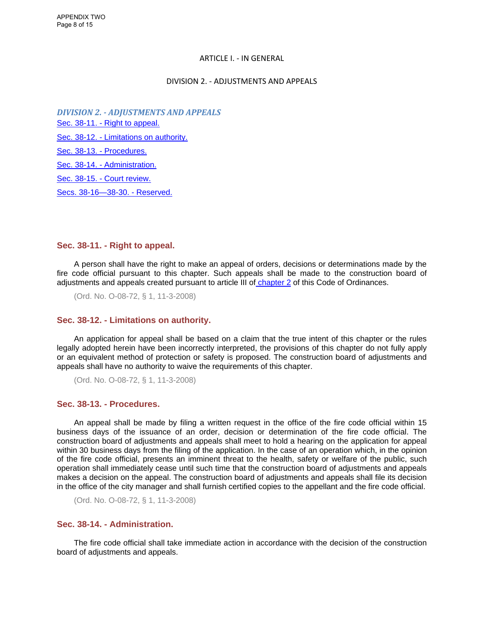## ARTICLE I. ‐ IN GENERAL

### DIVISION 2. ‐ ADJUSTMENTS AND APPEALS

*DIVISION 2. ADJUSTMENTS AND APPEALS* [Sec. 38-11. - Right to appeal.](#page-25-0) [Sec. 38-12. - Limitations on authority.](#page-25-1) [Sec. 38-13. - Procedures.](#page-25-2) [Sec. 38-14. - Administration.](#page-25-3) [Sec. 38-15. - Court review.](#page-26-0) [Secs. 38-16—38-30. - Reserved.](#page-26-1)

## <span id="page-25-0"></span>**Sec. 38-11. - Right to appeal.**

A person shall have the right to make an appeal of orders, decisions or determinations made by the fire code official pursuant to this chapter. Such appeals shall be made to the construction board of adjustments and appeals created pursuant to article III of chapter 2 of this Code of Ordinances.

(Ord. No. O-08-72, § 1, 11-3-2008)

## <span id="page-25-1"></span>**Sec. 38-12. - Limitations on authority.**

An application for appeal shall be based on a claim that the true intent of this chapter or the rules legally adopted herein have been incorrectly interpreted, the provisions of this chapter do not fully apply or an equivalent method of protection or safety is proposed. The construction board of adjustments and appeals shall have no authority to waive the requirements of this chapter.

(Ord. No. O-08-72, § 1, 11-3-2008)

## <span id="page-25-2"></span>**Sec. 38-13. - Procedures.**

An appeal shall be made by filing a written request in the office of the fire code official within 15 business days of the issuance of an order, decision or determination of the fire code official. The construction board of adjustments and appeals shall meet to hold a hearing on the application for appeal within 30 business days from the filing of the application. In the case of an operation which, in the opinion of the fire code official, presents an imminent threat to the health, safety or welfare of the public, such operation shall immediately cease until such time that the construction board of adjustments and appeals makes a decision on the appeal. The construction board of adjustments and appeals shall file its decision in the office of the city manager and shall furnish certified copies to the appellant and the fire code official.

(Ord. No. O-08-72, § 1, 11-3-2008)

## <span id="page-25-3"></span>**Sec. 38-14. - Administration.**

The fire code official shall take immediate action in accordance with the decision of the construction board of adjustments and appeals.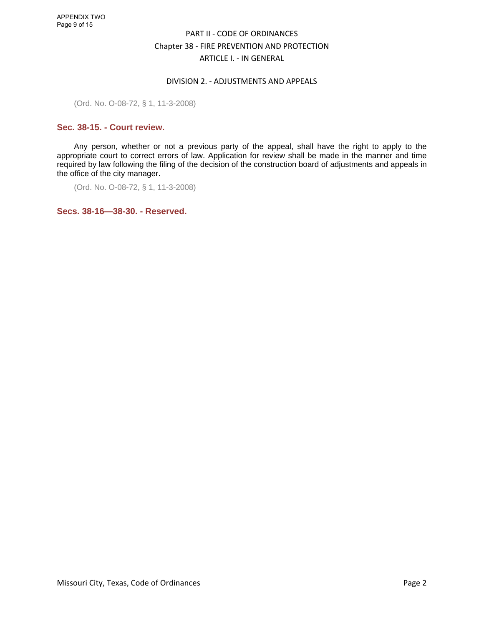# PART II ‐ CODE OF ORDINANCES Chapter 38 ‐ FIRE PREVENTION AND PROTECTION ARTICLE I. ‐ IN GENERAL

## DIVISION 2. ‐ ADJUSTMENTS AND APPEALS

(Ord. No. O-08-72, § 1, 11-3-2008)

## <span id="page-26-0"></span>**Sec. 38-15. - Court review.**

Any person, whether or not a previous party of the appeal, shall have the right to apply to the appropriate court to correct errors of law. Application for review shall be made in the manner and time required by law following the filing of the decision of the construction board of adjustments and appeals in the office of the city manager.

(Ord. No. O-08-72, § 1, 11-3-2008)

<span id="page-26-1"></span>**Secs. 38-16—38-30. - Reserved.**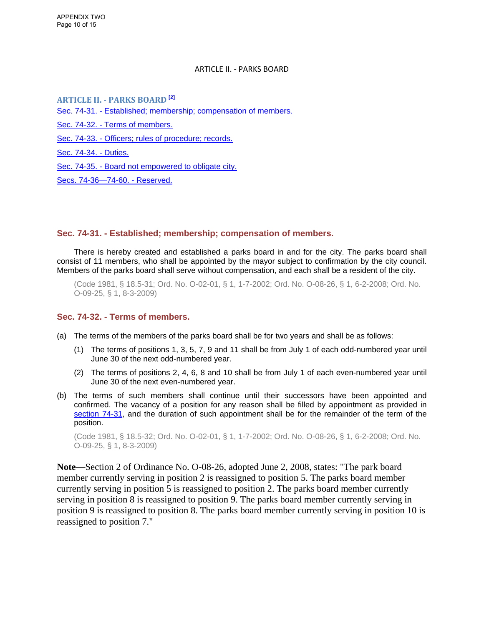## ARTICLE II. ‐ PARKS BOARD

<span id="page-27-0"></span>**ARTICLE II. PARKS BOARD [\[2\]](#page-27-0)** 

[Sec. 74-31. - Established; membership; compensation of members.](#page-27-1)

[Sec. 74-32. - Terms of members.](#page-27-2)

[Sec. 74-33. - Officers; rules of procedure; records.](#page-28-0)

[Sec. 74-34. - Duties.](#page-28-1)

[Sec. 74-35. - Board not empowered to obligate city.](#page-28-2)

[Secs. 74-36—74-60. - Reserved.](#page-28-3)

## <span id="page-27-1"></span>**Sec. 74-31. - Established; membership; compensation of members.**

There is hereby created and established a parks board in and for the city. The parks board shall consist of 11 members, who shall be appointed by the mayor subject to confirmation by the city council. Members of the parks board shall serve without compensation, and each shall be a resident of the city.

(Code 1981, § 18.5-31; Ord. No. O-02-01, § 1, 1-7-2002; Ord. No. O-08-26, § 1, 6-2-2008; Ord. No. O-09-25, § 1, 8-3-2009)

## <span id="page-27-2"></span>**Sec. 74-32. - Terms of members.**

(a) The terms of the members of the parks board shall be for two years and shall be as follows:

- (1) The terms of positions 1, 3, 5, 7, 9 and 11 shall be from July 1 of each odd-numbered year until June 30 of the next odd-numbered year.
- (2) The terms of positions 2, 4, 6, 8 and 10 shall be from July 1 of each even-numbered year until June 30 of the next even-numbered year.
- (b) The terms of such members shall continue until their successors have been appointed and confirmed. The vacancy of a position for any reason shall be filled by appointment as provided in section 74-31, and the duration of such appointment shall be for the remainder of the term of the position.

(Code 1981, § 18.5-32; Ord. No. O-02-01, § 1, 1-7-2002; Ord. No. O-08-26, § 1, 6-2-2008; Ord. No. O-09-25, § 1, 8-3-2009)

**Note—**Section 2 of Ordinance No. O-08-26, adopted June 2, 2008, states: "The park board member currently serving in position 2 is reassigned to position 5. The parks board member currently serving in position 5 is reassigned to position 2. The parks board member currently serving in position 8 is reassigned to position 9. The parks board member currently serving in position 9 is reassigned to position 8. The parks board member currently serving in position 10 is reassigned to position 7."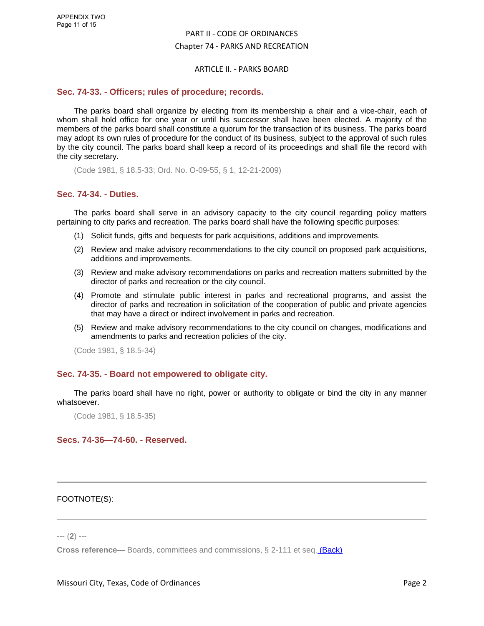# PART II ‐ CODE OF ORDINANCES Chapter 74 ‐ PARKS AND RECREATION

## ARTICLE II. ‐ PARKS BOARD

## **Sec. 74-33. - Officers; rules of procedure; records.**

<span id="page-28-0"></span>The parks board shall organize by electing from its membership a chair and a vice-chair, each of whom shall hold office for one year or until his successor shall have been elected. A majority of the members of the parks board shall constitute a quorum for the transaction of its business. The parks board may adopt its own rules of procedure for the conduct of its business, subject to the approval of such rules by the city council. The parks board shall keep a record of its proceedings and shall file the record with the city secretary.

(Code 1981, § 18.5-33; Ord. No. O-09-55, § 1, 12-21-2009)

## <span id="page-28-1"></span>**Sec. 74-34. - Duties.**

The parks board shall serve in an advisory capacity to the city council regarding policy matters pertaining to city parks and recreation. The parks board shall have the following specific purposes:

- (1) Solicit funds, gifts and bequests for park acquisitions, additions and improvements.
- (2) Review and make advisory recommendations to the city council on proposed park acquisitions, additions and improvements.
- (3) Review and make advisory recommendations on parks and recreation matters submitted by the director of parks and recreation or the city council.
- (4) Promote and stimulate public interest in parks and recreational programs, and assist the director of parks and recreation in solicitation of the cooperation of public and private agencies that may have a direct or indirect involvement in parks and recreation.
- (5) Review and make advisory recommendations to the city council on changes, modifications and amendments to parks and recreation policies of the city.

(Code 1981, § 18.5-34)

## <span id="page-28-2"></span>**Sec. 74-35. - Board not empowered to obligate city.**

The parks board shall have no right, power or authority to obligate or bind the city in any manner whatsoever.

(Code 1981, § 18.5-35)

## <span id="page-28-3"></span>**Secs. 74-36—74-60. - Reserved.**

## FOOTNOTE(S):

--- (**2**) ---

**Cross reference—** Boards, committees and commissions, § 2-111 et seq. [\(Back\)](#page-27-0)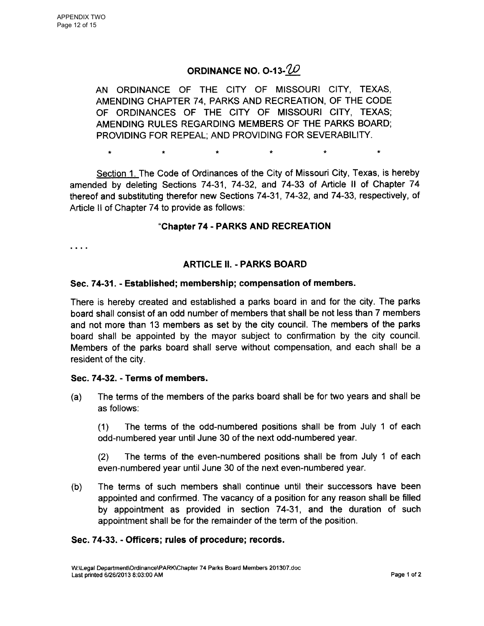# ORDINANCE NO. 0-13- $\mathcal{W}$

AN ORDINANCE OF THE CITY OF MISSOURI CITY, TEXAS, AMENDING CHAPTER 74, PARKS AND RECREATION, OF THE CODE OF ORDINANCES OF THE CITY OF MISSOURI CITY. TEXAS: AMENDING RULES REGARDING MEMBERS OF THE PARKS BOARD; PROVIDING FOR REPEAL: AND PROVIDING FOR SEVERABILITY.

 $\star$  $\star$  $\bullet$  $\star$  $\bullet$ 

Section 1. The Code of Ordinances of the City of Missouri City, Texas, is hereby amended by deleting Sections 74-31, 74-32, and 74-33 of Article II of Chapter 74 thereof and substituting therefor new Sections 74-31, 74-32, and 74-33, respectively, of Article II of Chapter 74 to provide as follows:

# "Chapter 74 - PARKS AND RECREATION

 $\cdots$ 

# **ARTICLE II. - PARKS BOARD**

## Sec. 74-31. - Established; membership; compensation of members.

There is hereby created and established a parks board in and for the city. The parks board shall consist of an odd number of members that shall be not less than 7 members and not more than 13 members as set by the city council. The members of the parks board shall be appointed by the mayor subject to confirmation by the city council. Members of the parks board shall serve without compensation, and each shall be a resident of the city.

# Sec. 74-32. - Terms of members.

 $(a)$ The terms of the members of the parks board shall be for two years and shall be as follows:

The terms of the odd-numbered positions shall be from July 1 of each  $(1)$ odd-numbered year until June 30 of the next odd-numbered year.

The terms of the even-numbered positions shall be from July 1 of each  $(2)$ even-numbered year until June 30 of the next even-numbered year.

 $(b)$ The terms of such members shall continue until their successors have been appointed and confirmed. The vacancy of a position for any reason shall be filled by appointment as provided in section 74-31, and the duration of such appointment shall be for the remainder of the term of the position.

# Sec. 74-33. - Officers; rules of procedure; records.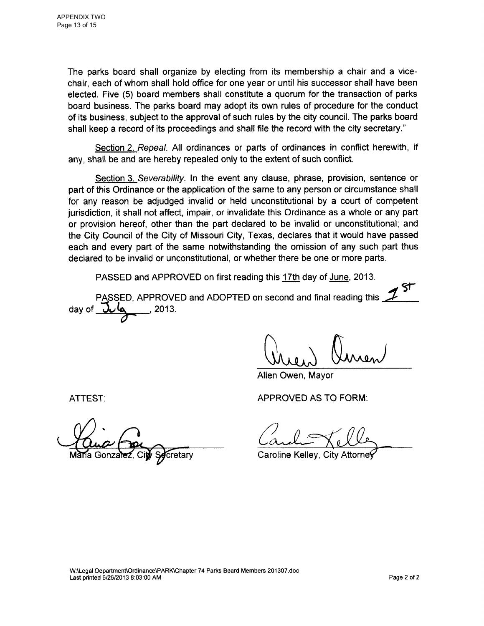The parks board shall organize by electing from its membership a chair and a vicechair, each of whom shall hold office for one year or until his successor shall have been elected. Five (5) board members shall constitute a quorum for the transaction of parks board business. The parks board may adopt its own rules of procedure for the conduct of its business, subject to the approval of such rules by the city council. The parks board shall keep a record of its proceedings and shall file the record with the city secretary."

Section 2. Repeal. All ordinances or parts of ordinances in conflict herewith, if any, shall be and are hereby repealed only to the extent of such conflict.

Section 3. Severability. In the event any clause, phrase, provision, sentence or part of this Ordinance or the application of the same to any person or circumstance shall for any reason be adjudged invalid or held unconstitutional by a court of competent jurisdiction, it shall not affect, impair, or invalidate this Ordinance as a whole or any part or provision hereof, other than the part declared to be invalid or unconstitutional; and the City Council of the City of Missouri City, Texas, declares that it would have passed each and every part of the same notwithstanding the omission of any such part thus declared to be invalid or unconstitutional, or whether there be one or more parts.

PASSED and APPROVED on first reading this 17th day of June, 2013.

PASSED, APPROVED and ADOPTED on second and final reading this X day of **باب ل**ه  $\frac{1}{2}$ , 2013.

Allen Owen, Mayor

APPROVED AS TO FORM:

**Secretary** 

ATTEST:

Caroline Kelley, City Attorne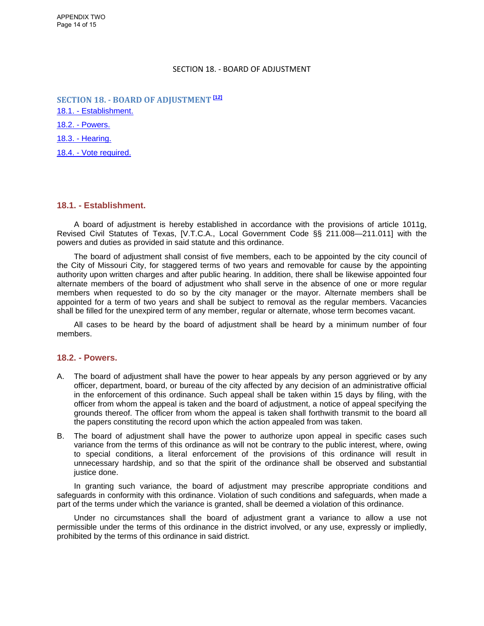## SECTION 18. ‐ BOARD OF ADJUSTMENT

<span id="page-31-0"></span>**SECTION 18. BOARD OF ADJUSTMENT [\[12\]](#page-31-0)**  [18.1. - Establishment.](#page-31-1)

[18.2. - Powers.](#page-31-2)

[18.3. - Hearing.](#page-32-0)

[18.4. - Vote required.](#page-32-1)

## <span id="page-31-1"></span>**18.1. - Establishment.**

A board of adjustment is hereby established in accordance with the provisions of article 1011g, Revised Civil Statutes of Texas, [V.T.C.A., Local Government Code §§ 211.008—211.011] with the powers and duties as provided in said statute and this ordinance.

The board of adjustment shall consist of five members, each to be appointed by the city council of the City of Missouri City, for staggered terms of two years and removable for cause by the appointing authority upon written charges and after public hearing. In addition, there shall be likewise appointed four alternate members of the board of adjustment who shall serve in the absence of one or more regular members when requested to do so by the city manager or the mayor. Alternate members shall be appointed for a term of two years and shall be subject to removal as the regular members. Vacancies shall be filled for the unexpired term of any member, regular or alternate, whose term becomes vacant.

All cases to be heard by the board of adjustment shall be heard by a minimum number of four members.

## <span id="page-31-2"></span>**18.2. - Powers.**

- A. The board of adjustment shall have the power to hear appeals by any person aggrieved or by any officer, department, board, or bureau of the city affected by any decision of an administrative official in the enforcement of this ordinance. Such appeal shall be taken within 15 days by filing, with the officer from whom the appeal is taken and the board of adjustment, a notice of appeal specifying the grounds thereof. The officer from whom the appeal is taken shall forthwith transmit to the board all the papers constituting the record upon which the action appealed from was taken.
- B. The board of adjustment shall have the power to authorize upon appeal in specific cases such variance from the terms of this ordinance as will not be contrary to the public interest, where, owing to special conditions, a literal enforcement of the provisions of this ordinance will result in unnecessary hardship, and so that the spirit of the ordinance shall be observed and substantial justice done.

In granting such variance, the board of adjustment may prescribe appropriate conditions and safeguards in conformity with this ordinance. Violation of such conditions and safeguards, when made a part of the terms under which the variance is granted, shall be deemed a violation of this ordinance.

Under no circumstances shall the board of adjustment grant a variance to allow a use not permissible under the terms of this ordinance in the district involved, or any use, expressly or impliedly, prohibited by the terms of this ordinance in said district.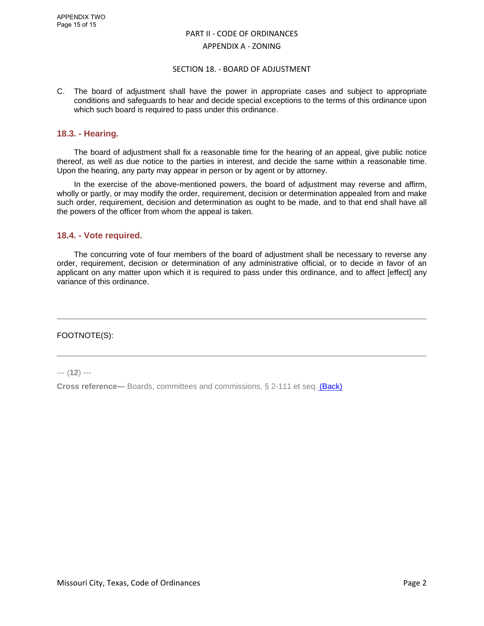## PART II ‐ CODE OF ORDINANCES APPENDIX A ‐ ZONING

## SECTION 18. ‐ BOARD OF ADJUSTMENT

C. The board of adjustment shall have the power in appropriate cases and subject to appropriate conditions and safeguards to hear and decide special exceptions to the terms of this ordinance upon which such board is required to pass under this ordinance.

## <span id="page-32-0"></span>**18.3. - Hearing.**

The board of adjustment shall fix a reasonable time for the hearing of an appeal, give public notice thereof, as well as due notice to the parties in interest, and decide the same within a reasonable time. Upon the hearing, any party may appear in person or by agent or by attorney.

In the exercise of the above-mentioned powers, the board of adjustment may reverse and affirm, wholly or partly, or may modify the order, requirement, decision or determination appealed from and make such order, requirement, decision and determination as ought to be made, and to that end shall have all the powers of the officer from whom the appeal is taken.

## <span id="page-32-1"></span>**18.4. - Vote required.**

The concurring vote of four members of the board of adjustment shall be necessary to reverse any order, requirement, decision or determination of any administrative official, or to decide in favor of an applicant on any matter upon which it is required to pass under this ordinance, and to affect [effect] any variance of this ordinance.

FOOTNOTE(S):

--- (**12**) ---

**Cross reference—** Boards, committees and commissions, § 2-111 et seq. [\(Back\)](#page-31-0)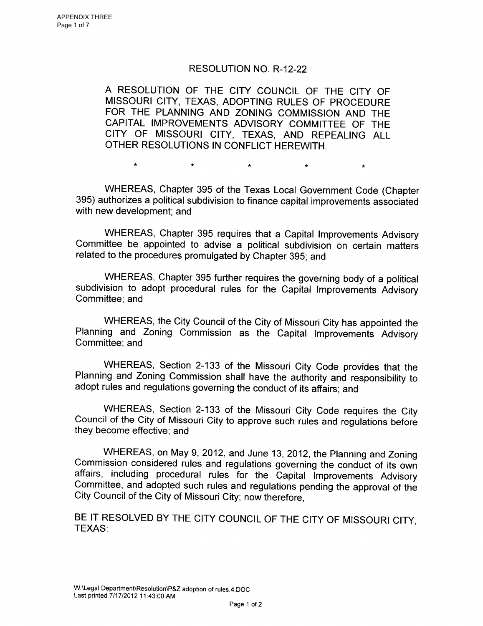# **RESOLUTION NO. R-12-22**

A RESOLUTION OF THE CITY COUNCIL OF THE CITY OF MISSOURI CITY, TEXAS, ADOPTING RULES OF PROCEDURE FOR THE PLANNING AND ZONING COMMISSION AND THE CAPITAL IMPROVEMENTS ADVISORY COMMITTEE OF THE CITY OF MISSOURI CITY, TEXAS, AND REPEALING ALL OTHER RESOLUTIONS IN CONFLICT HEREWITH.

 $\ddot{\bullet}$ 

WHEREAS, Chapter 395 of the Texas Local Government Code (Chapter 395) authorizes a political subdivision to finance capital improvements associated with new development; and

WHEREAS, Chapter 395 requires that a Capital Improvements Advisory Committee be appointed to advise a political subdivision on certain matters related to the procedures promulgated by Chapter 395; and

WHEREAS, Chapter 395 further requires the governing body of a political subdivision to adopt procedural rules for the Capital Improvements Advisory Committee; and

WHEREAS, the City Council of the City of Missouri City has appointed the Planning and Zoning Commission as the Capital Improvements Advisory Committee; and

WHEREAS, Section 2-133 of the Missouri City Code provides that the Planning and Zoning Commission shall have the authority and responsibility to adopt rules and regulations governing the conduct of its affairs; and

WHEREAS, Section 2-133 of the Missouri City Code requires the City Council of the City of Missouri City to approve such rules and regulations before they become effective; and

WHEREAS, on May 9, 2012, and June 13, 2012, the Planning and Zoning Commission considered rules and regulations governing the conduct of its own affairs, including procedural rules for the Capital Improvements Advisory Committee, and adopted such rules and regulations pending the approval of the City Council of the City of Missouri City; now therefore,

BE IT RESOLVED BY THE CITY COUNCIL OF THE CITY OF MISSOURI CITY, TEXAS: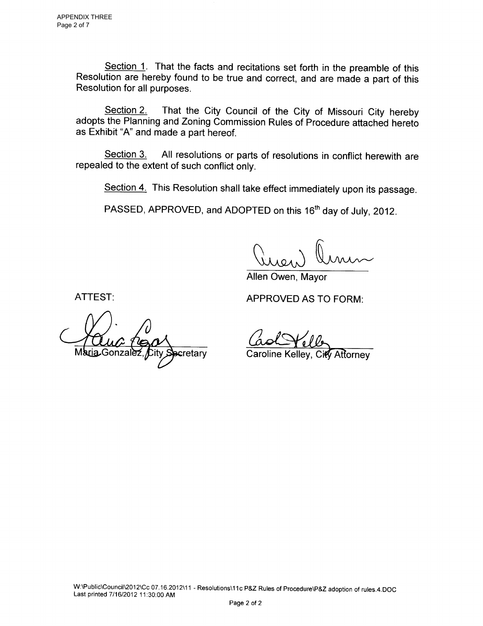Section 1. That the facts and recitations set forth in the preamble of this Resolution are hereby found to be true and correct, and are made a part of this Resolution for all purposes.

Section 2. That the City Council of the City of Missouri City hereby adopts the Planning and Zoning Commission Rules of Procedure attached hereto as Exhibit "A" and made a part hereof.

All resolutions or parts of resolutions in conflict herewith are Section 3. repealed to the extent of such conflict only.

Section 4. This Resolution shall take effect immediately upon its passage.

PASSED, APPROVED, and ADOPTED on this 16<sup>th</sup> day of July, 2012.

Allen Owen, Mayor

ATTEST:

ະretary

**APPROVED AS TO FORM:** 

Attorney Kelley, Cie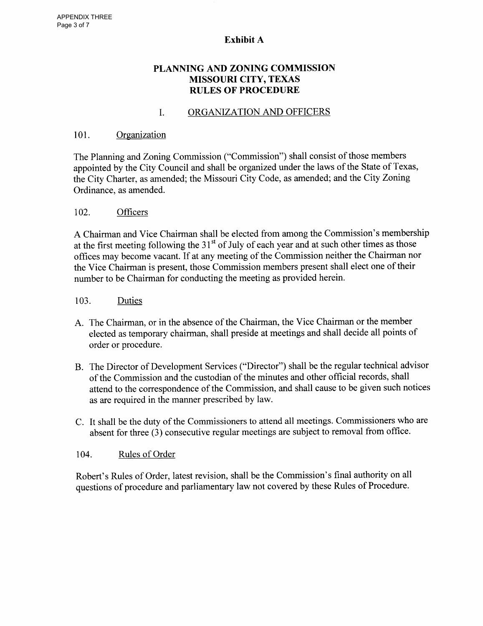# **Exhibit A**

# PLANNING AND ZONING COMMISSION **MISSOURI CITY, TEXAS RULES OF PROCEDURE**

### ORGANIZATION AND OFFICERS  $\mathbf{I}$ .

### 101. Organization

The Planning and Zoning Commission ("Commission") shall consist of those members appointed by the City Council and shall be organized under the laws of the State of Texas, the City Charter, as amended; the Missouri City Code, as amended; and the City Zoning Ordinance, as amended.

### 102. Officers

A Chairman and Vice Chairman shall be elected from among the Commission's membership at the first meeting following the  $31<sup>st</sup>$  of July of each year and at such other times as those offices may become vacant. If at any meeting of the Commission neither the Chairman nor the Vice Chairman is present, those Commission members present shall elect one of their number to be Chairman for conducting the meeting as provided herein.

### 103. Duties

- A. The Chairman, or in the absence of the Chairman, the Vice Chairman or the member elected as temporary chairman, shall preside at meetings and shall decide all points of order or procedure.
- B. The Director of Development Services ("Director") shall be the regular technical advisor of the Commission and the custodian of the minutes and other official records, shall attend to the correspondence of the Commission, and shall cause to be given such notices as are required in the manner prescribed by law.
- C. It shall be the duty of the Commissioners to attend all meetings. Commissioners who are absent for three (3) consecutive regular meetings are subject to removal from office.

### 104. Rules of Order

Robert's Rules of Order, latest revision, shall be the Commission's final authority on all questions of procedure and parliamentary law not covered by these Rules of Procedure.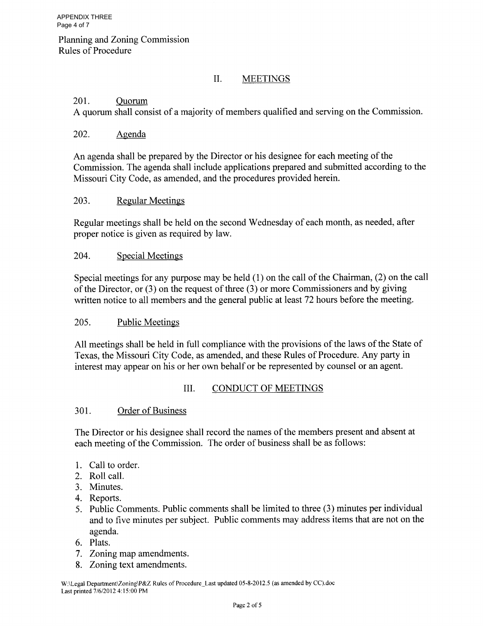Planning and Zoning Commission **Rules of Procedure** 

### $II.$ **MEETINGS**

 $201.$ Ouorum A quorum shall consist of a majority of members qualified and serving on the Commission.

### 202. Agenda

An agenda shall be prepared by the Director or his designee for each meeting of the Commission. The agenda shall include applications prepared and submitted according to the Missouri City Code, as amended, and the procedures provided herein.

### 203. **Regular Meetings**

Regular meetings shall be held on the second Wednesday of each month, as needed, after proper notice is given as required by law.

### 204. **Special Meetings**

Special meetings for any purpose may be held (1) on the call of the Chairman, (2) on the call of the Director, or  $(3)$  on the request of three  $(3)$  or more Commissioners and by giving written notice to all members and the general public at least 72 hours before the meeting.

### 205. **Public Meetings**

All meetings shall be held in full compliance with the provisions of the laws of the State of Texas, the Missouri City Code, as amended, and these Rules of Procedure. Any party in interest may appear on his or her own behalf or be represented by counsel or an agent.

### III. **CONDUCT OF MEETINGS**

### 301. Order of Business

The Director or his designee shall record the names of the members present and absent at each meeting of the Commission. The order of business shall be as follows:

- 1. Call to order.
- 2. Roll call.
- 3. Minutes.
- 4. Reports.
- 5. Public Comments. Public comments shall be limited to three (3) minutes per individual and to five minutes per subject. Public comments may address items that are not on the agenda.
- 6. Plats.
- 7. Zoning map amendments.
- 8. Zoning text amendments.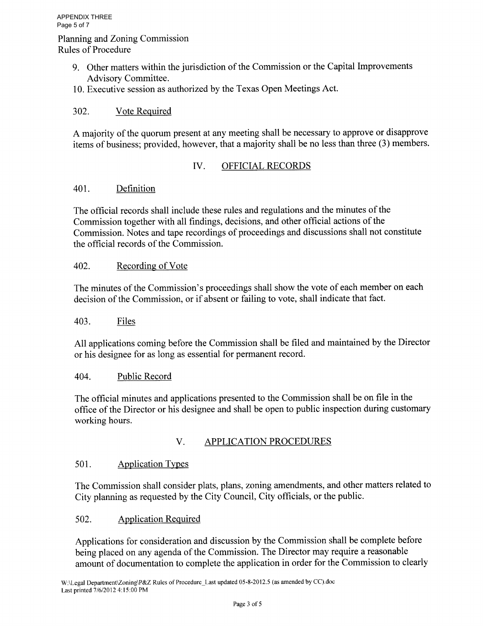Planning and Zoning Commission **Rules of Procedure** 

- 9. Other matters within the jurisdiction of the Commission or the Capital Improvements **Advisory Committee.**
- 10. Executive session as authorized by the Texas Open Meetings Act.

### 302. **Vote Required**

A majority of the quorum present at any meeting shall be necessary to approve or disapprove items of business; provided, however, that a majority shall be no less than three (3) members.

### OFFICIAL RECORDS IV.

### 401. Definition

The official records shall include these rules and regulations and the minutes of the Commission together with all findings, decisions, and other official actions of the Commission. Notes and tape recordings of proceedings and discussions shall not constitute the official records of the Commission.

### 402. Recording of Vote

The minutes of the Commission's proceedings shall show the vote of each member on each decision of the Commission, or if absent or failing to vote, shall indicate that fact.

### 403. Files

All applications coming before the Commission shall be filed and maintained by the Director or his designee for as long as essential for permanent record.

### 404. Public Record

The official minutes and applications presented to the Commission shall be on file in the office of the Director or his designee and shall be open to public inspection during customary working hours.

### V. **APPLICATION PROCEDURES**

### 501. **Application Types**

The Commission shall consider plats, plans, zoning amendments, and other matters related to City planning as requested by the City Council, City officials, or the public.

### 502. **Application Required**

Applications for consideration and discussion by the Commission shall be complete before being placed on any agenda of the Commission. The Director may require a reasonable amount of documentation to complete the application in order for the Commission to clearly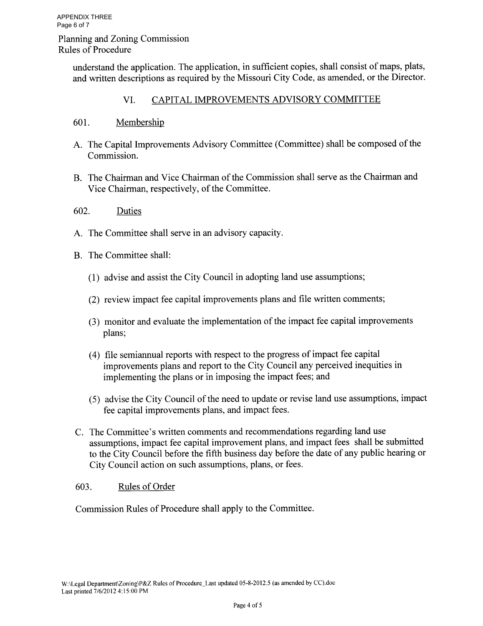## **Rules of Procedure**

understand the application. The application, in sufficient copies, shall consist of maps, plats, and written descriptions as required by the Missouri City Code, as amended, or the Director.

### CAPITAL IMPROVEMENTS ADVISORY COMMITTEE VI.

- 601. Membership
- A. The Capital Improvements Advisory Committee (Committee) shall be composed of the Commission.
- B. The Chairman and Vice Chairman of the Commission shall serve as the Chairman and Vice Chairman, respectively, of the Committee.
- 602. Duties
- A. The Committee shall serve in an advisory capacity.
- B. The Committee shall:
	- (1) advise and assist the City Council in adopting land use assumptions;
	- (2) review impact fee capital improvements plans and file written comments;
	- (3) monitor and evaluate the implementation of the impact fee capital improvements plans;
	- (4) file semiannual reports with respect to the progress of impact fee capital improvements plans and report to the City Council any perceived inequities in implementing the plans or in imposing the impact fees; and
	- (5) advise the City Council of the need to update or revise land use assumptions, impact fee capital improvements plans, and impact fees.
- C. The Committee's written comments and recommendations regarding land use assumptions, impact fee capital improvement plans, and impact fees shall be submitted to the City Council before the fifth business day before the date of any public hearing or City Council action on such assumptions, plans, or fees.

#### 603. Rules of Order

Commission Rules of Procedure shall apply to the Committee.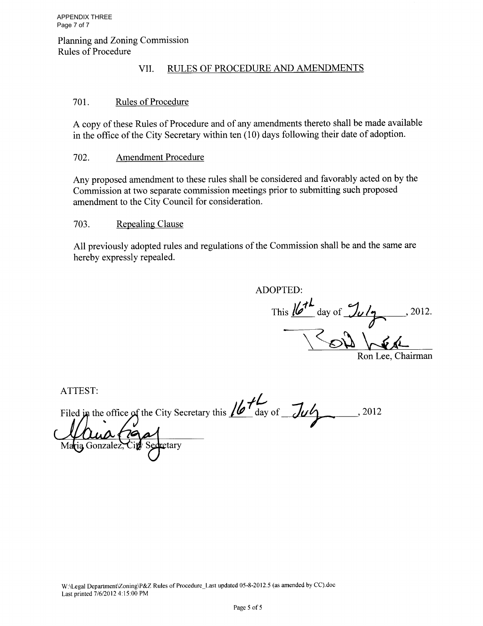Planning and Zoning Commission **Rules of Procedure** 

### VII. RULES OF PROCEDURE AND AMENDMENTS

#### 701. **Rules of Procedure**

A copy of these Rules of Procedure and of any amendments thereto shall be made available in the office of the City Secretary within ten (10) days following their date of adoption.

#### **Amendment Procedure** 702.

Any proposed amendment to these rules shall be considered and favorably acted on by the Commission at two separate commission meetings prior to submitting such proposed amendment to the City Council for consideration.

### **Repealing Clause** 703.

All previously adopted rules and regulations of the Commission shall be and the same are hereby expressly repealed.

**ADOPTED:** 

This  $\frac{16t^2}{8}$  day of  $\frac{76}{9}$ , 2012.

ATTEST:

Filed in the office of the City Secretary this  $167$  day of  $7/2$ , 2012 Maria Gonzalez etary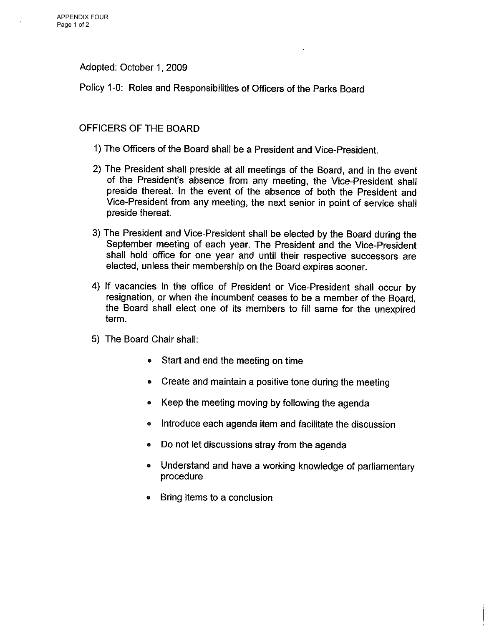Adopted: October 1, 2009

Policy 1-0: Roles and Responsibilities of Officers of the Parks Board

# OFFICERS OF THE BOARD

- 1) The Officers of the Board shall be a President and Vice-President.
- 2) The President shall preside at all meetings of the Board, and in the event of the President's absence from any meeting, the Vice-President shall preside thereat. In the event of the absence of both the President and Vice-President from any meeting, the next senior in point of service shall preside thereat.
- 3) The President and Vice-President shall be elected by the Board during the September meeting of each year. The President and the Vice-President shall hold office for one year and until their respective successors are elected, unless their membership on the Board expires sooner.
- 4) If vacancies in the office of President or Vice-President shall occur by resignation, or when the incumbent ceases to be a member of the Board. the Board shall elect one of its members to fill same for the unexpired term.
- 5) The Board Chair shall:
	- Start and end the meeting on time
	- Create and maintain a positive tone during the meeting
	- Keep the meeting moving by following the agenda  $\bullet$
	- Introduce each agenda item and facilitate the discussion
	- Do not let discussions stray from the agenda
	- Understand and have a working knowledge of parliamentary procedure
	- Bring items to a conclusion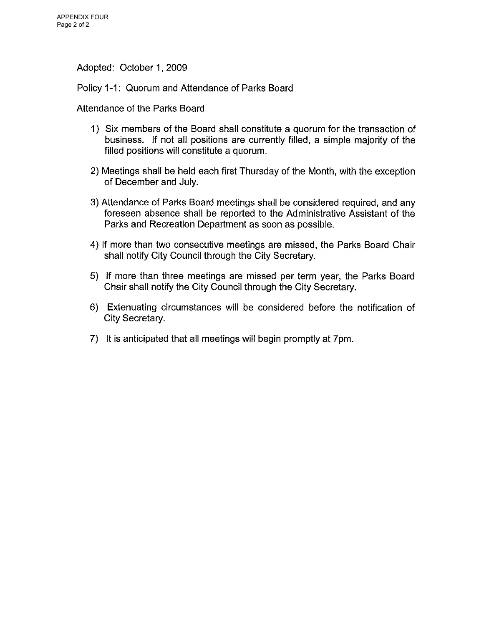Adopted: October 1, 2009

Policy 1-1: Quorum and Attendance of Parks Board

Attendance of the Parks Board

- 1) Six members of the Board shall constitute a quorum for the transaction of business. If not all positions are currently filled, a simple majority of the filled positions will constitute a quorum.
- 2) Meetings shall be held each first Thursday of the Month, with the exception of December and July.
- 3) Attendance of Parks Board meetings shall be considered required, and any foreseen absence shall be reported to the Administrative Assistant of the Parks and Recreation Department as soon as possible.
- 4) If more than two consecutive meetings are missed, the Parks Board Chair shall notify City Council through the City Secretary.
- 5) If more than three meetings are missed per term year, the Parks Board Chair shall notify the City Council through the City Secretary.
- 6) Extenuating circumstances will be considered before the notification of City Secretary.
- 7) It is anticipated that all meetings will begin promptly at 7pm.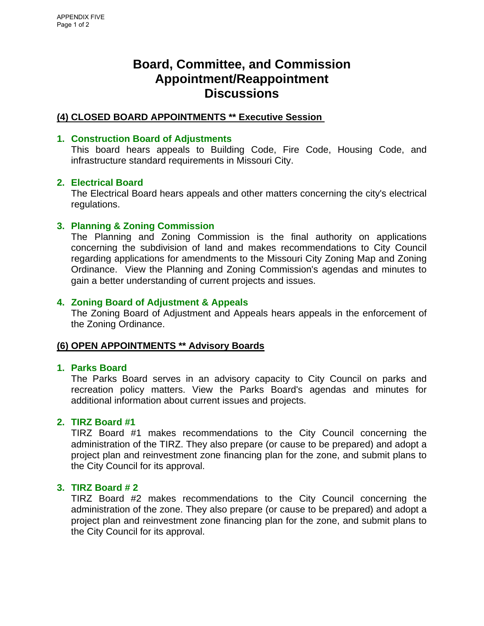# **Board, Committee, and Commission Appointment/Reappointment Discussions**

# **(4) CLOSED BOARD APPOINTMENTS \*\* Executive Session**

# **1. Construction Board of Adjustments**

This board hears appeals to Building Code, Fire Code, Housing Code, and infrastructure standard requirements in Missouri City.

# **2. Electrical Board**

The Electrical Board hears appeals and other matters concerning the city's electrical regulations.

# **3. Planning & Zoning Commission**

The Planning and Zoning Commission is the final authority on applications concerning the subdivision of land and makes recommendations to City Council regarding applications for amendments to the Missouri City Zoning Map and Zoning Ordinance. View the Planning and Zoning Commission's agendas and minutes to gain a better understanding of current projects and issues.

# **4. Zoning Board of Adjustment & Appeals**

The Zoning Board of Adjustment and Appeals hears appeals in the enforcement of the Zoning Ordinance.

# **(6) OPEN APPOINTMENTS \*\* Advisory Boards**

# **1. Parks Board**

The Parks Board serves in an advisory capacity to City Council on parks and recreation policy matters. View the Parks Board's agendas and minutes for additional information about current issues and projects.

# **2. TIRZ Board #1**

TIRZ Board #1 makes recommendations to the City Council concerning the administration of the TIRZ. They also prepare (or cause to be prepared) and adopt a project plan and reinvestment zone financing plan for the zone, and submit plans to the City Council for its approval.

# **3. TIRZ Board # 2**

TIRZ Board #2 makes recommendations to the City Council concerning the administration of the zone. They also prepare (or cause to be prepared) and adopt a project plan and reinvestment zone financing plan for the zone, and submit plans to the City Council for its approval.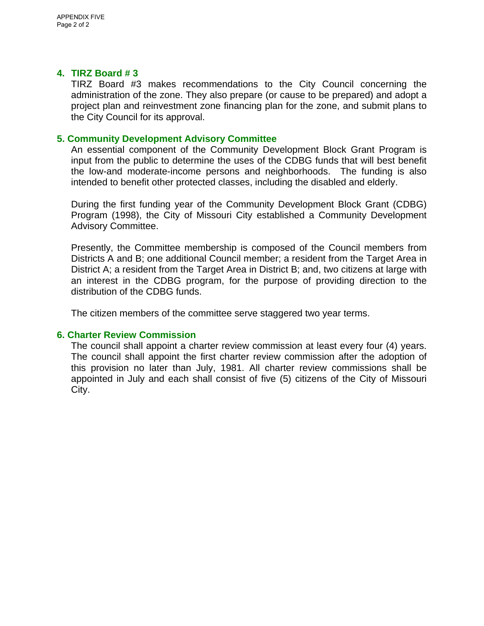# **4. TIRZ Board # 3**

TIRZ Board #3 makes recommendations to the City Council concerning the administration of the zone. They also prepare (or cause to be prepared) and adopt a project plan and reinvestment zone financing plan for the zone, and submit plans to the City Council for its approval.

# **5. Community Development Advisory Committee**

An essential component of the Community Development Block Grant Program is input from the public to determine the uses of the CDBG funds that will best benefit the low-and moderate-income persons and neighborhoods. The funding is also intended to benefit other protected classes, including the disabled and elderly.

During the first funding year of the Community Development Block Grant (CDBG) Program (1998), the City of Missouri City established a Community Development Advisory Committee.

Presently, the Committee membership is composed of the Council members from Districts A and B; one additional Council member; a resident from the Target Area in District A; a resident from the Target Area in District B; and, two citizens at large with an interest in the CDBG program, for the purpose of providing direction to the distribution of the CDBG funds.

The citizen members of the committee serve staggered two year terms.

# **6. Charter Review Commission**

The council shall appoint a charter review commission at least every four (4) years. The council shall appoint the first charter review commission after the adoption of this provision no later than July, 1981. All charter review commissions shall be appointed in July and each shall consist of five (5) citizens of the City of Missouri City.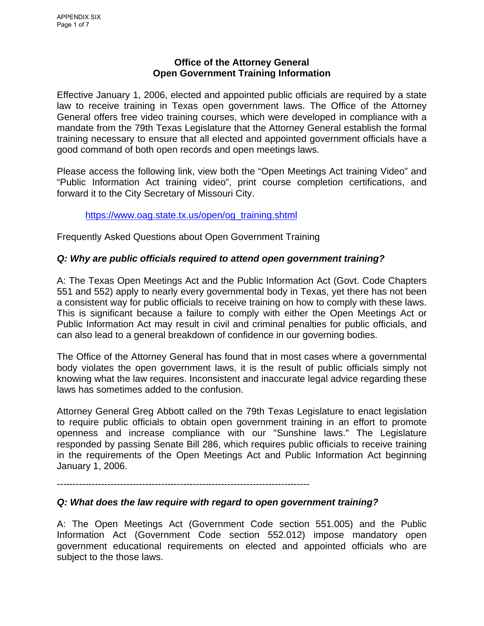# **Office of the Attorney General Open Government Training Information**

Effective January 1, 2006, elected and appointed public officials are required by a state law to receive training in Texas open government laws. The Office of the Attorney General offers free video training courses, which were developed in compliance with a mandate from the 79th Texas Legislature that the Attorney General establish the formal training necessary to ensure that all elected and appointed government officials have a good command of both open records and open meetings laws.

Please access the following link, view both the "Open Meetings Act training Video" and "Public Information Act training video", print course completion certifications, and forward it to the City Secretary of Missouri City.

# https://www.oag.state.tx.us/open/og\_training.shtml

Frequently Asked Questions about Open Government Training

# *Q: Why are public officials required to attend open government training?*

A: The Texas Open Meetings Act and the Public Information Act (Govt. Code Chapters 551 and 552) apply to nearly every governmental body in Texas, yet there has not been a consistent way for public officials to receive training on how to comply with these laws. This is significant because a failure to comply with either the Open Meetings Act or Public Information Act may result in civil and criminal penalties for public officials, and can also lead to a general breakdown of confidence in our governing bodies.

The Office of the Attorney General has found that in most cases where a governmental body violates the open government laws, it is the result of public officials simply not knowing what the law requires. Inconsistent and inaccurate legal advice regarding these laws has sometimes added to the confusion.

Attorney General Greg Abbott called on the 79th Texas Legislature to enact legislation to require public officials to obtain open government training in an effort to promote openness and increase compliance with our "Sunshine laws." The Legislature responded by passing Senate Bill 286, which requires public officials to receive training in the requirements of the Open Meetings Act and Public Information Act beginning January 1, 2006.

--------------------------------------------------------------------------------

# *Q: What does the law require with regard to open government training?*

A: The Open Meetings Act (Government Code section 551.005) and the Public Information Act (Government Code section 552.012) impose mandatory open government educational requirements on elected and appointed officials who are subject to the those laws.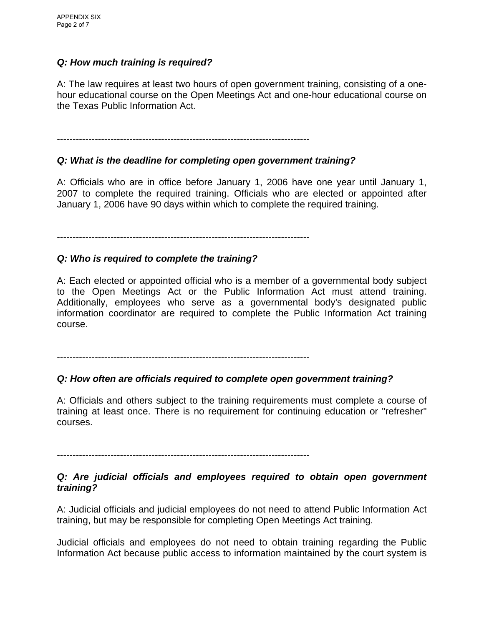# *Q: How much training is required?*

A: The law requires at least two hours of open government training, consisting of a onehour educational course on the Open Meetings Act and one-hour educational course on the Texas Public Information Act.

--------------------------------------------------------------------------------

# *Q: What is the deadline for completing open government training?*

A: Officials who are in office before January 1, 2006 have one year until January 1, 2007 to complete the required training. Officials who are elected or appointed after January 1, 2006 have 90 days within which to complete the required training.

--------------------------------------------------------------------------------

# *Q: Who is required to complete the training?*

A: Each elected or appointed official who is a member of a governmental body subject to the Open Meetings Act or the Public Information Act must attend training. Additionally, employees who serve as a governmental body's designated public information coordinator are required to complete the Public Information Act training course.

--------------------------------------------------------------------------------

# *Q: How often are officials required to complete open government training?*

A: Officials and others subject to the training requirements must complete a course of training at least once. There is no requirement for continuing education or "refresher" courses.

--------------------------------------------------------------------------------

# *Q: Are judicial officials and employees required to obtain open government training?*

A: Judicial officials and judicial employees do not need to attend Public Information Act training, but may be responsible for completing Open Meetings Act training.

Judicial officials and employees do not need to obtain training regarding the Public Information Act because public access to information maintained by the court system is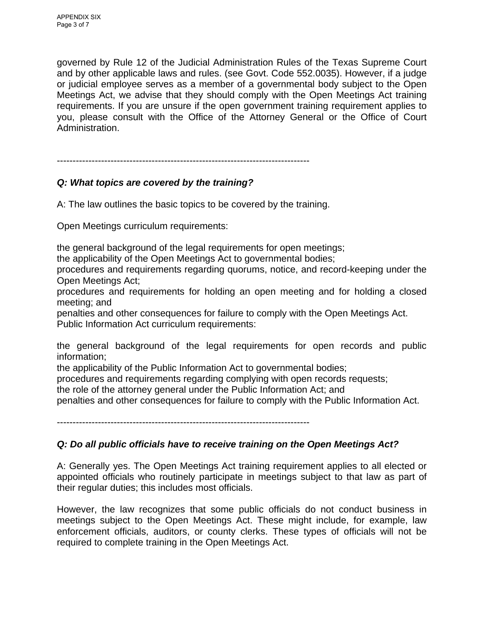governed by Rule 12 of the Judicial Administration Rules of the Texas Supreme Court and by other applicable laws and rules. (see Govt. Code 552.0035). However, if a judge or judicial employee serves as a member of a governmental body subject to the Open Meetings Act, we advise that they should comply with the Open Meetings Act training requirements. If you are unsure if the open government training requirement applies to you, please consult with the Office of the Attorney General or the Office of Court Administration.

--------------------------------------------------------------------------------

# *Q: What topics are covered by the training?*

A: The law outlines the basic topics to be covered by the training.

Open Meetings curriculum requirements:

the general background of the legal requirements for open meetings;

the applicability of the Open Meetings Act to governmental bodies;

procedures and requirements regarding quorums, notice, and record-keeping under the Open Meetings Act;

procedures and requirements for holding an open meeting and for holding a closed meeting; and

penalties and other consequences for failure to comply with the Open Meetings Act. Public Information Act curriculum requirements:

the general background of the legal requirements for open records and public information;

the applicability of the Public Information Act to governmental bodies;

procedures and requirements regarding complying with open records requests;

the role of the attorney general under the Public Information Act; and

penalties and other consequences for failure to comply with the Public Information Act.

--------------------------------------------------------------------------------

# *Q: Do all public officials have to receive training on the Open Meetings Act?*

A: Generally yes. The Open Meetings Act training requirement applies to all elected or appointed officials who routinely participate in meetings subject to that law as part of their regular duties; this includes most officials.

However, the law recognizes that some public officials do not conduct business in meetings subject to the Open Meetings Act. These might include, for example, law enforcement officials, auditors, or county clerks. These types of officials will not be required to complete training in the Open Meetings Act.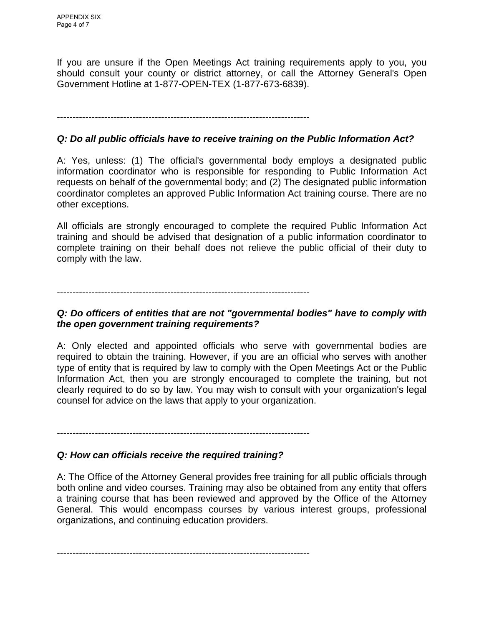If you are unsure if the Open Meetings Act training requirements apply to you, you should consult your county or district attorney, or call the Attorney General's Open Government Hotline at 1-877-OPEN-TEX (1-877-673-6839).

--------------------------------------------------------------------------------

# *Q: Do all public officials have to receive training on the Public Information Act?*

A: Yes, unless: (1) The official's governmental body employs a designated public information coordinator who is responsible for responding to Public Information Act requests on behalf of the governmental body; and (2) The designated public information coordinator completes an approved Public Information Act training course. There are no other exceptions.

All officials are strongly encouraged to complete the required Public Information Act training and should be advised that designation of a public information coordinator to complete training on their behalf does not relieve the public official of their duty to comply with the law.

--------------------------------------------------------------------------------

# *Q: Do officers of entities that are not "governmental bodies" have to comply with the open government training requirements?*

A: Only elected and appointed officials who serve with governmental bodies are required to obtain the training. However, if you are an official who serves with another type of entity that is required by law to comply with the Open Meetings Act or the Public Information Act, then you are strongly encouraged to complete the training, but not clearly required to do so by law. You may wish to consult with your organization's legal counsel for advice on the laws that apply to your organization.

--------------------------------------------------------------------------------

# *Q: How can officials receive the required training?*

A: The Office of the Attorney General provides free training for all public officials through both online and video courses. Training may also be obtained from any entity that offers a training course that has been reviewed and approved by the Office of the Attorney General. This would encompass courses by various interest groups, professional organizations, and continuing education providers.

--------------------------------------------------------------------------------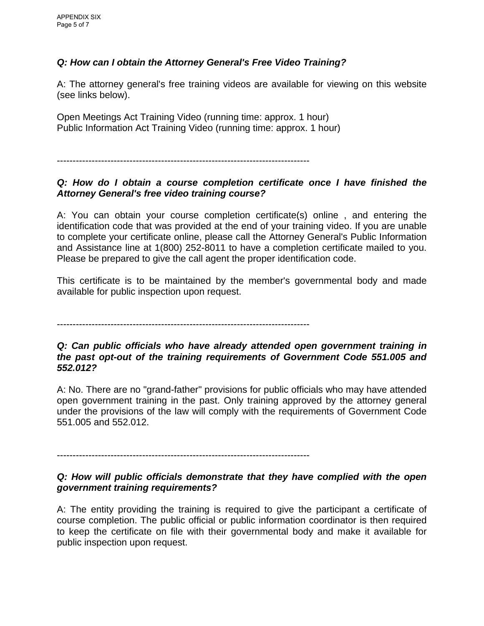# *Q: How can I obtain the Attorney General's Free Video Training?*

A: The attorney general's free training videos are available for viewing on this website (see links below).

Open Meetings Act Training Video (running time: approx. 1 hour) Public Information Act Training Video (running time: approx. 1 hour)

--------------------------------------------------------------------------------

# *Q: How do I obtain a course completion certificate once I have finished the Attorney General's free video training course?*

A: You can obtain your course completion certificate(s) online , and entering the identification code that was provided at the end of your training video. If you are unable to complete your certificate online, please call the Attorney General's Public Information and Assistance line at 1(800) 252-8011 to have a completion certificate mailed to you. Please be prepared to give the call agent the proper identification code.

This certificate is to be maintained by the member's governmental body and made available for public inspection upon request.

--------------------------------------------------------------------------------

# *Q: Can public officials who have already attended open government training in the past opt-out of the training requirements of Government Code 551.005 and 552.012?*

A: No. There are no "grand-father" provisions for public officials who may have attended open government training in the past. Only training approved by the attorney general under the provisions of the law will comply with the requirements of Government Code 551.005 and 552.012.

--------------------------------------------------------------------------------

# *Q: How will public officials demonstrate that they have complied with the open government training requirements?*

A: The entity providing the training is required to give the participant a certificate of course completion. The public official or public information coordinator is then required to keep the certificate on file with their governmental body and make it available for public inspection upon request.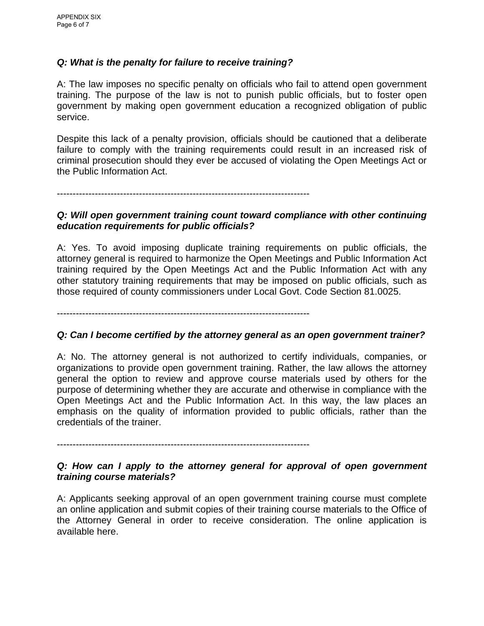# *Q: What is the penalty for failure to receive training?*

A: The law imposes no specific penalty on officials who fail to attend open government training. The purpose of the law is not to punish public officials, but to foster open government by making open government education a recognized obligation of public service.

Despite this lack of a penalty provision, officials should be cautioned that a deliberate failure to comply with the training requirements could result in an increased risk of criminal prosecution should they ever be accused of violating the Open Meetings Act or the Public Information Act.

--------------------------------------------------------------------------------

# **Q: Will open government training count toward compliance with other continuing** *education requirements for public officials?*

A: Yes. To avoid imposing duplicate training requirements on public officials, the attorney general is required to harmonize the Open Meetings and Public Information Act training required by the Open Meetings Act and the Public Information Act with any other statutory training requirements that may be imposed on public officials, such as those required of county commissioners under Local Govt. Code Section 81.0025.

--------------------------------------------------------------------------------

# *Q: Can I become certified by the attorney general as an open government trainer?*

A: No. The attorney general is not authorized to certify individuals, companies, or organizations to provide open government training. Rather, the law allows the attorney general the option to review and approve course materials used by others for the purpose of determining whether they are accurate and otherwise in compliance with the Open Meetings Act and the Public Information Act. In this way, the law places an emphasis on the quality of information provided to public officials, rather than the credentials of the trainer.

--------------------------------------------------------------------------------

# *Q: How can I apply to the attorney general for approval of open government training course materials?*

A: Applicants seeking approval of an open government training course must complete an online application and submit copies of their training course materials to the Office of the Attorney General in order to receive consideration. The online application is available here.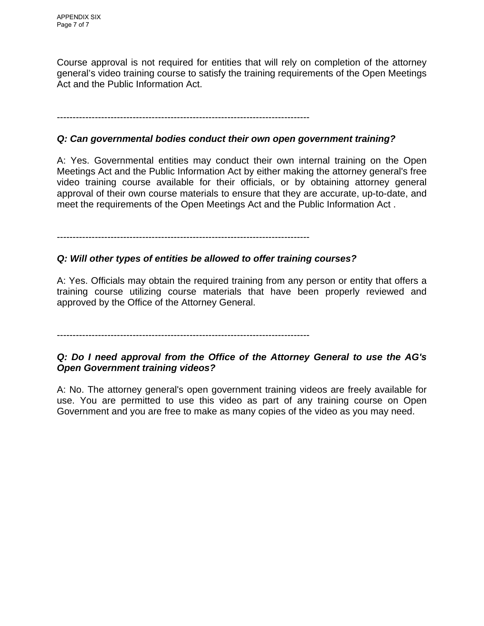Course approval is not required for entities that will rely on completion of the attorney general's video training course to satisfy the training requirements of the Open Meetings Act and the Public Information Act.

--------------------------------------------------------------------------------

# *Q: Can governmental bodies conduct their own open government training?*

A: Yes. Governmental entities may conduct their own internal training on the Open Meetings Act and the Public Information Act by either making the attorney general's free video training course available for their officials, or by obtaining attorney general approval of their own course materials to ensure that they are accurate, up-to-date, and meet the requirements of the Open Meetings Act and the Public Information Act .

--------------------------------------------------------------------------------

# *Q: Will other types of entities be allowed to offer training courses?*

A: Yes. Officials may obtain the required training from any person or entity that offers a training course utilizing course materials that have been properly reviewed and approved by the Office of the Attorney General.

--------------------------------------------------------------------------------

# *Q: Do I need approval from the Office of the Attorney General to use the AG's Open Government training videos?*

A: No. The attorney general's open government training videos are freely available for use. You are permitted to use this video as part of any training course on Open Government and you are free to make as many copies of the video as you may need.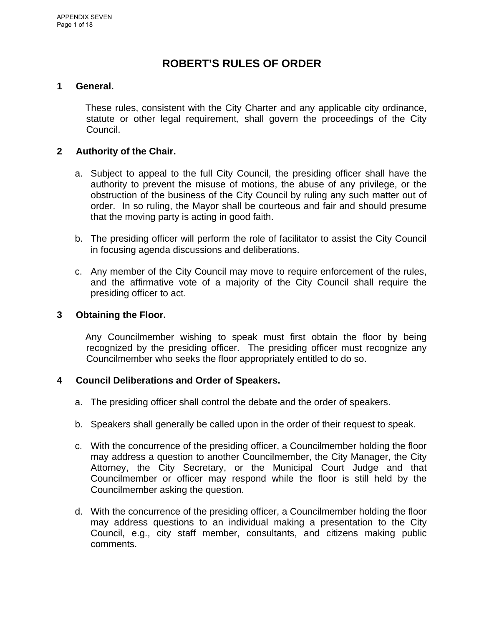# **ROBERT'S RULES OF ORDER**

# **1 General.**

These rules, consistent with the City Charter and any applicable city ordinance, statute or other legal requirement, shall govern the proceedings of the City Council.

# **2 Authority of the Chair.**

- a. Subject to appeal to the full City Council, the presiding officer shall have the authority to prevent the misuse of motions, the abuse of any privilege, or the obstruction of the business of the City Council by ruling any such matter out of order. In so ruling, the Mayor shall be courteous and fair and should presume that the moving party is acting in good faith.
- b. The presiding officer will perform the role of facilitator to assist the City Council in focusing agenda discussions and deliberations.
- c. Any member of the City Council may move to require enforcement of the rules, and the affirmative vote of a majority of the City Council shall require the presiding officer to act.

# **3 Obtaining the Floor.**

Any Councilmember wishing to speak must first obtain the floor by being recognized by the presiding officer. The presiding officer must recognize any Councilmember who seeks the floor appropriately entitled to do so.

# **4 Council Deliberations and Order of Speakers.**

- a. The presiding officer shall control the debate and the order of speakers.
- b. Speakers shall generally be called upon in the order of their request to speak.
- c. With the concurrence of the presiding officer, a Councilmember holding the floor may address a question to another Councilmember, the City Manager, the City Attorney, the City Secretary, or the Municipal Court Judge and that Councilmember or officer may respond while the floor is still held by the Councilmember asking the question.
- d. With the concurrence of the presiding officer, a Councilmember holding the floor may address questions to an individual making a presentation to the City Council, e.g., city staff member, consultants, and citizens making public comments.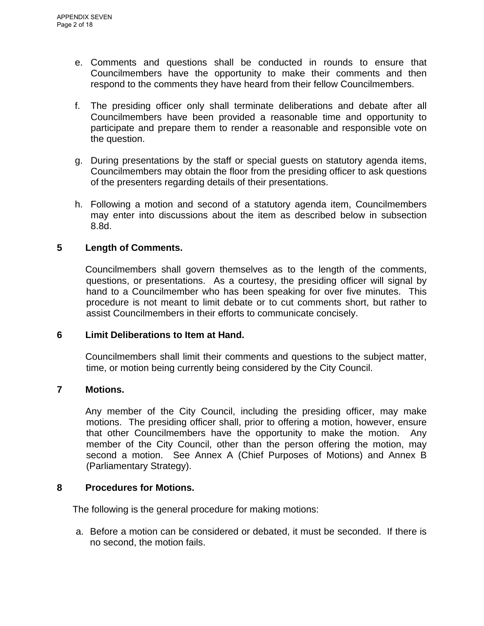- e. Comments and questions shall be conducted in rounds to ensure that Councilmembers have the opportunity to make their comments and then respond to the comments they have heard from their fellow Councilmembers.
- f. The presiding officer only shall terminate deliberations and debate after all Councilmembers have been provided a reasonable time and opportunity to participate and prepare them to render a reasonable and responsible vote on the question.
- g. During presentations by the staff or special guests on statutory agenda items, Councilmembers may obtain the floor from the presiding officer to ask questions of the presenters regarding details of their presentations.
- h. Following a motion and second of a statutory agenda item, Councilmembers may enter into discussions about the item as described below in subsection 8.8d.

# **5 Length of Comments.**

Councilmembers shall govern themselves as to the length of the comments, questions, or presentations. As a courtesy, the presiding officer will signal by hand to a Councilmember who has been speaking for over five minutes. This procedure is not meant to limit debate or to cut comments short, but rather to assist Councilmembers in their efforts to communicate concisely.

# **6 Limit Deliberations to Item at Hand.**

Councilmembers shall limit their comments and questions to the subject matter, time, or motion being currently being considered by the City Council.

# **7 Motions.**

Any member of the City Council, including the presiding officer, may make motions. The presiding officer shall, prior to offering a motion, however, ensure that other Councilmembers have the opportunity to make the motion. Any member of the City Council, other than the person offering the motion, may second a motion. See Annex A (Chief Purposes of Motions) and Annex B (Parliamentary Strategy).

# **8 Procedures for Motions.**

The following is the general procedure for making motions:

a. Before a motion can be considered or debated, it must be seconded. If there is no second, the motion fails.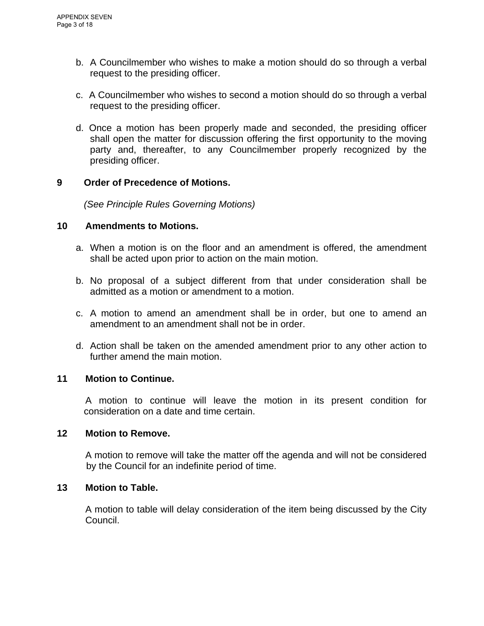- b. A Councilmember who wishes to make a motion should do so through a verbal request to the presiding officer.
- c. A Councilmember who wishes to second a motion should do so through a verbal request to the presiding officer.
- d. Once a motion has been properly made and seconded, the presiding officer shall open the matter for discussion offering the first opportunity to the moving party and, thereafter, to any Councilmember properly recognized by the presiding officer.

# **9 Order of Precedence of Motions.**

*(See Principle Rules Governing Motions)* 

# **10 Amendments to Motions.**

- a. When a motion is on the floor and an amendment is offered, the amendment shall be acted upon prior to action on the main motion.
- b. No proposal of a subject different from that under consideration shall be admitted as a motion or amendment to a motion.
- c. A motion to amend an amendment shall be in order, but one to amend an amendment to an amendment shall not be in order.
- d. Action shall be taken on the amended amendment prior to any other action to further amend the main motion.

# **11 Motion to Continue.**

A motion to continue will leave the motion in its present condition for consideration on a date and time certain.

# **12 Motion to Remove.**

A motion to remove will take the matter off the agenda and will not be considered by the Council for an indefinite period of time.

# **13 Motion to Table.**

A motion to table will delay consideration of the item being discussed by the City Council.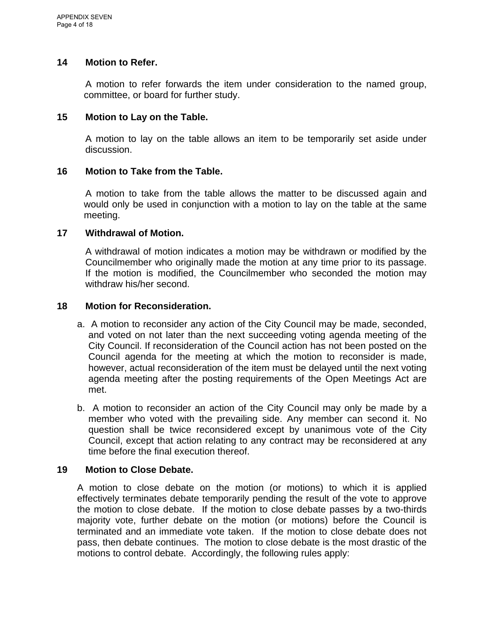# **14 Motion to Refer.**

A motion to refer forwards the item under consideration to the named group, committee, or board for further study.

# **15 Motion to Lay on the Table.**

A motion to lay on the table allows an item to be temporarily set aside under discussion.

# **16 Motion to Take from the Table.**

A motion to take from the table allows the matter to be discussed again and would only be used in conjunction with a motion to lay on the table at the same meeting.

# **17 Withdrawal of Motion.**

A withdrawal of motion indicates a motion may be withdrawn or modified by the Councilmember who originally made the motion at any time prior to its passage. If the motion is modified, the Councilmember who seconded the motion may withdraw his/her second.

# **18 Motion for Reconsideration.**

- a. A motion to reconsider any action of the City Council may be made, seconded, and voted on not later than the next succeeding voting agenda meeting of the City Council. If reconsideration of the Council action has not been posted on the Council agenda for the meeting at which the motion to reconsider is made, however, actual reconsideration of the item must be delayed until the next voting agenda meeting after the posting requirements of the Open Meetings Act are met.
- b. A motion to reconsider an action of the City Council may only be made by a member who voted with the prevailing side. Any member can second it. No question shall be twice reconsidered except by unanimous vote of the City Council, except that action relating to any contract may be reconsidered at any time before the final execution thereof.

# **19 Motion to Close Debate.**

A motion to close debate on the motion (or motions) to which it is applied effectively terminates debate temporarily pending the result of the vote to approve the motion to close debate. If the motion to close debate passes by a two-thirds majority vote, further debate on the motion (or motions) before the Council is terminated and an immediate vote taken. If the motion to close debate does not pass, then debate continues. The motion to close debate is the most drastic of the motions to control debate. Accordingly, the following rules apply: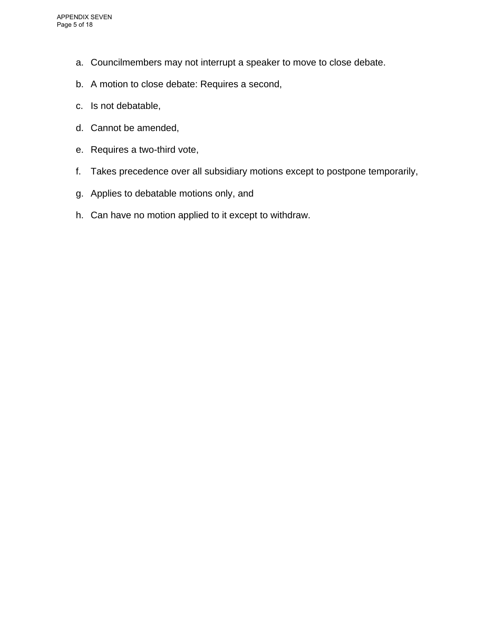- a. Councilmembers may not interrupt a speaker to move to close debate.
- b. A motion to close debate: Requires a second,
- c. Is not debatable,
- d. Cannot be amended,
- e. Requires a two-third vote,
- f. Takes precedence over all subsidiary motions except to postpone temporarily,
- g. Applies to debatable motions only, and
- h. Can have no motion applied to it except to withdraw.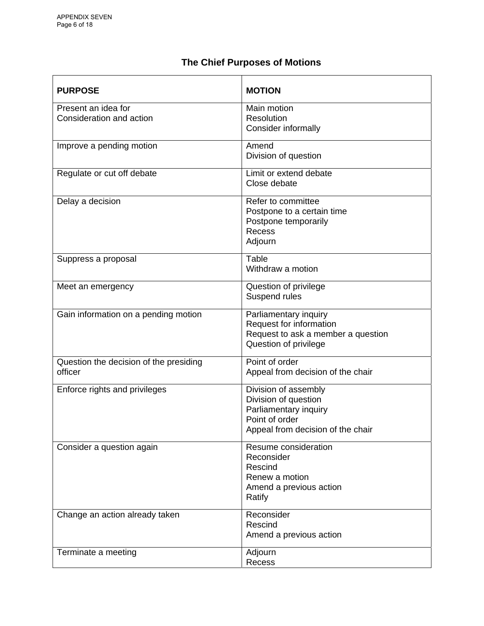# **The Chief Purposes of Motions**

| <b>PURPOSE</b>                                    | <b>MOTION</b>                                                                                                                |  |  |  |
|---------------------------------------------------|------------------------------------------------------------------------------------------------------------------------------|--|--|--|
| Present an idea for<br>Consideration and action   | Main motion<br>Resolution<br><b>Consider informally</b>                                                                      |  |  |  |
| Improve a pending motion                          | Amend<br>Division of question                                                                                                |  |  |  |
| Regulate or cut off debate                        | Limit or extend debate<br>Close debate                                                                                       |  |  |  |
| Delay a decision                                  | Refer to committee<br>Postpone to a certain time<br>Postpone temporarily<br><b>Recess</b><br>Adjourn                         |  |  |  |
| Suppress a proposal                               | Table<br>Withdraw a motion                                                                                                   |  |  |  |
| Meet an emergency                                 | Question of privilege<br>Suspend rules                                                                                       |  |  |  |
| Gain information on a pending motion              | Parliamentary inquiry<br>Request for information<br>Request to ask a member a question<br>Question of privilege              |  |  |  |
| Question the decision of the presiding<br>officer | Point of order<br>Appeal from decision of the chair                                                                          |  |  |  |
| Enforce rights and privileges                     | Division of assembly<br>Division of question<br>Parliamentary inquiry<br>Point of order<br>Appeal from decision of the chair |  |  |  |
| Consider a question again                         | Resume consideration<br>Reconsider<br>Rescind<br>Renew a motion<br>Amend a previous action<br>Ratify                         |  |  |  |
| Change an action already taken                    | Reconsider<br>Rescind<br>Amend a previous action                                                                             |  |  |  |
| Terminate a meeting                               | Adjourn<br>Recess                                                                                                            |  |  |  |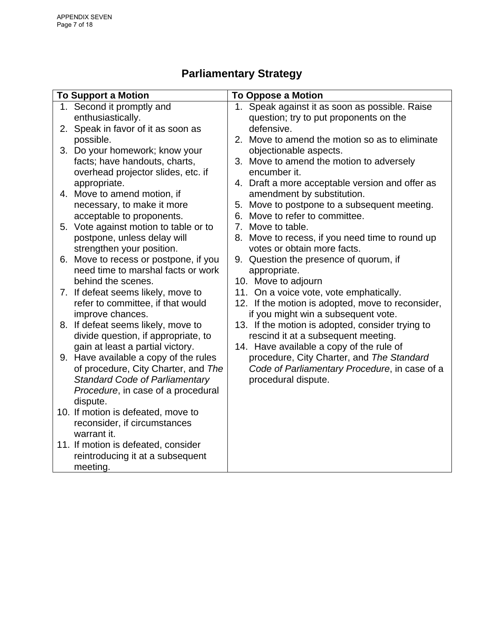# **Parliamentary Strategy**

| <b>To Support a Motion</b> |                                                                      |  | <b>To Oppose a Motion</b>                                                      |  |  |  |  |  |
|----------------------------|----------------------------------------------------------------------|--|--------------------------------------------------------------------------------|--|--|--|--|--|
|                            | 1. Second it promptly and                                            |  | 1. Speak against it as soon as possible. Raise                                 |  |  |  |  |  |
|                            | enthusiastically.                                                    |  | question; try to put proponents on the                                         |  |  |  |  |  |
|                            | 2. Speak in favor of it as soon as                                   |  | defensive.                                                                     |  |  |  |  |  |
|                            | possible.                                                            |  | 2. Move to amend the motion so as to eliminate                                 |  |  |  |  |  |
|                            | 3. Do your homework; know your                                       |  | objectionable aspects.                                                         |  |  |  |  |  |
|                            | facts; have handouts, charts,                                        |  | 3. Move to amend the motion to adversely                                       |  |  |  |  |  |
|                            | overhead projector slides, etc. if                                   |  | encumber it.                                                                   |  |  |  |  |  |
|                            | appropriate.                                                         |  | 4. Draft a more acceptable version and offer as                                |  |  |  |  |  |
|                            | 4. Move to amend motion, if                                          |  | amendment by substitution.                                                     |  |  |  |  |  |
|                            | necessary, to make it more                                           |  | 5. Move to postpone to a subsequent meeting.<br>6. Move to refer to committee. |  |  |  |  |  |
|                            | acceptable to proponents.                                            |  | 7. Move to table.                                                              |  |  |  |  |  |
|                            | 5. Vote against motion to table or to<br>postpone, unless delay will |  | 8. Move to recess, if you need time to round up                                |  |  |  |  |  |
|                            | strengthen your position.                                            |  | votes or obtain more facts.                                                    |  |  |  |  |  |
|                            | 6. Move to recess or postpone, if you                                |  | 9. Question the presence of quorum, if                                         |  |  |  |  |  |
|                            | need time to marshal facts or work                                   |  | appropriate.                                                                   |  |  |  |  |  |
|                            | behind the scenes.                                                   |  | 10. Move to adjourn                                                            |  |  |  |  |  |
|                            | 7. If defeat seems likely, move to                                   |  | 11. On a voice vote, vote emphatically.                                        |  |  |  |  |  |
|                            | refer to committee, if that would                                    |  | 12. If the motion is adopted, move to reconsider,                              |  |  |  |  |  |
|                            | improve chances.                                                     |  | if you might win a subsequent vote.                                            |  |  |  |  |  |
|                            | 8. If defeat seems likely, move to                                   |  | 13. If the motion is adopted, consider trying to                               |  |  |  |  |  |
|                            | divide question, if appropriate, to                                  |  | rescind it at a subsequent meeting.                                            |  |  |  |  |  |
|                            | gain at least a partial victory.                                     |  | 14. Have available a copy of the rule of                                       |  |  |  |  |  |
|                            | 9. Have available a copy of the rules                                |  | procedure, City Charter, and The Standard                                      |  |  |  |  |  |
|                            | of procedure, City Charter, and The                                  |  | Code of Parliamentary Procedure, in case of a                                  |  |  |  |  |  |
|                            | <b>Standard Code of Parliamentary</b>                                |  | procedural dispute.                                                            |  |  |  |  |  |
|                            | Procedure, in case of a procedural                                   |  |                                                                                |  |  |  |  |  |
|                            | dispute.                                                             |  |                                                                                |  |  |  |  |  |
|                            | 10. If motion is defeated, move to                                   |  |                                                                                |  |  |  |  |  |
|                            | reconsider, if circumstances                                         |  |                                                                                |  |  |  |  |  |
|                            | warrant it.                                                          |  |                                                                                |  |  |  |  |  |
|                            | 11. If motion is defeated, consider                                  |  |                                                                                |  |  |  |  |  |
|                            | reintroducing it at a subsequent                                     |  |                                                                                |  |  |  |  |  |
|                            | meeting.                                                             |  |                                                                                |  |  |  |  |  |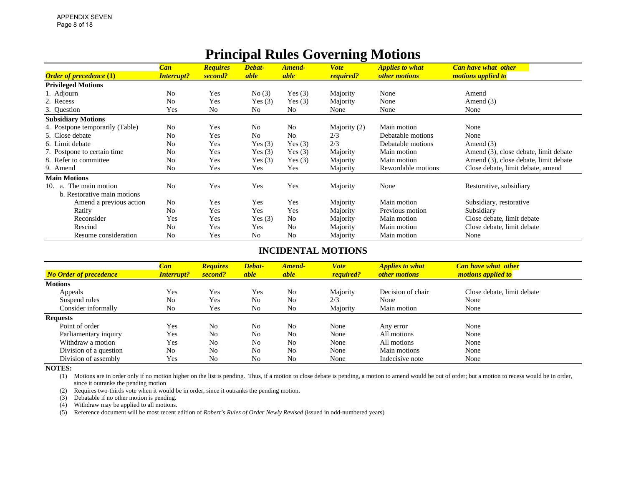# **Principal Rules Governing Motions**

|                                 | <b>Can</b>        | <b>Requires</b> | Debat-         | <b>Amend-</b>  | <b>Vote</b>  | <b>Applies to what</b>      | <b>Can have what other</b>            |
|---------------------------------|-------------------|-----------------|----------------|----------------|--------------|-----------------------------|---------------------------------------|
| <b>Order of precedence (1)</b>  | <b>Interrupt?</b> | second?         | able           | able           | required?    | <i><b>other motions</b></i> | <i>motions applied to</i>             |
| <b>Privileged Motions</b>       |                   |                 |                |                |              |                             |                                       |
| 1. Adjourn                      | No                | Yes             | No(3)          | Yes $(3)$      | Majority     | None                        | Amend                                 |
| 2. Recess                       | No                | Yes             | Yes $(3)$      | Yes $(3)$      | Majority     | None                        | Amend $(3)$                           |
| 3. Question                     | Yes               | N <sub>0</sub>  | No             | No             | None         | None                        | None                                  |
| <b>Subsidiary Motions</b>       |                   |                 |                |                |              |                             |                                       |
| 4. Postpone temporarily (Table) | No                | Yes             | N <sub>0</sub> | No             | Majority (2) | Main motion                 | None                                  |
| 5. Close debate                 | No                | Yes             | N <sub>o</sub> | N <sub>0</sub> | 2/3          | Debatable motions           | None                                  |
| 6. Limit debate                 | N <sub>0</sub>    | Yes             | Yes $(3)$      | Yes $(3)$      | 2/3          | Debatable motions           | Amend $(3)$                           |
| 7. Postpone to certain time     | No                | Yes             | Yes $(3)$      | Yes $(3)$      | Majority     | Main motion                 | Amend (3), close debate, limit debate |
| 8. Refer to committee           | No                | Yes             | Yes $(3)$      | Yes $(3)$      | Majority     | Main motion                 | Amend (3), close debate, limit debate |
| 9. Amend                        | No                | Yes             | Yes            | Yes            | Majority     | Rewordable motions          | Close debate, limit debate, amend     |
| <b>Main Motions</b>             |                   |                 |                |                |              |                             |                                       |
| 10. a. The main motion          | N <sub>o</sub>    | Yes             | Yes            | Yes            | Majority     | None                        | Restorative, subsidiary               |
| b. Restorative main motions     |                   |                 |                |                |              |                             |                                       |
| Amend a previous action         | No                | Yes             | Yes            | Yes            | Majority     | Main motion                 | Subsidiary, restorative               |
| Ratify                          | No                | Yes             | Yes            | Yes            | Majority     | Previous motion             | Subsidiary                            |
| Reconsider                      | Yes               | Yes             | Yes $(3)$      | N <sub>0</sub> | Majority     | Main motion                 | Close debate, limit debate            |
| Rescind                         | No                | Yes             | Yes            | N <sub>o</sub> | Majority     | Main motion                 | Close debate, limit debate            |
| Resume consideration            | No                | Yes             | N <sub>0</sub> | No             | Majority     | Main motion                 | None                                  |

# **INCIDENTAL MOTIONS**

|                               | Can               | <b>Requires</b> | Debat-         | Amend- | <b>Vote</b>      | <b>Applies to what</b> | <b>Can have what other</b> |
|-------------------------------|-------------------|-----------------|----------------|--------|------------------|------------------------|----------------------------|
| <b>No Order of precedence</b> | <b>Interrupt?</b> | second?         | able           | able   | <b>required?</b> | <b>other motions</b>   | <i>motions applied to</i>  |
| <b>Motions</b>                |                   |                 |                |        |                  |                        |                            |
| Appeals                       | Yes               | Yes             | Yes            | No     | Majority         | Decision of chair      | Close debate, limit debate |
| Suspend rules                 | No                | Yes             | N <sub>o</sub> | No     | 2/3              | None                   | None                       |
| Consider informally           | No                | Yes             | No             | No     | Majority         | Main motion            | None                       |
| <b>Requests</b>               |                   |                 |                |        |                  |                        |                            |
| Point of order                | Yes               | N <sub>0</sub>  | No             | No     | None             | Any error              | None                       |
| Parliamentary inquiry         | Yes               | N <sub>0</sub>  | No             | No     | None             | All motions            | None                       |
| Withdraw a motion             | Yes               | No              | No             | No     | None             | All motions            | None                       |
| Division of a question        | N <sub>0</sub>    | N <sub>0</sub>  | N <sub>0</sub> | No     | None             | Main motions           | None                       |
| Division of assembly          | Yes               | N <sub>0</sub>  | No             | No     | None             | Indecisive note        | None                       |

### **NOTES:**

(1) Motions are in order only if no motion higher on the list is pending. Thus, if a motion to close debate is pending, a motion to amend would be out of order; but a motion to recess would be in order, since it outranks the pending motion

(2) Requires two-thirds vote when it would be in order, since it outranks the pending motion.

(3) Debatable if no other motion is pending.

(4) Withdraw may be applied to all motions.

(5) Reference document will be most recent edition of *Robert's Rules of Order Newly Revised* (issued in odd-numbered years)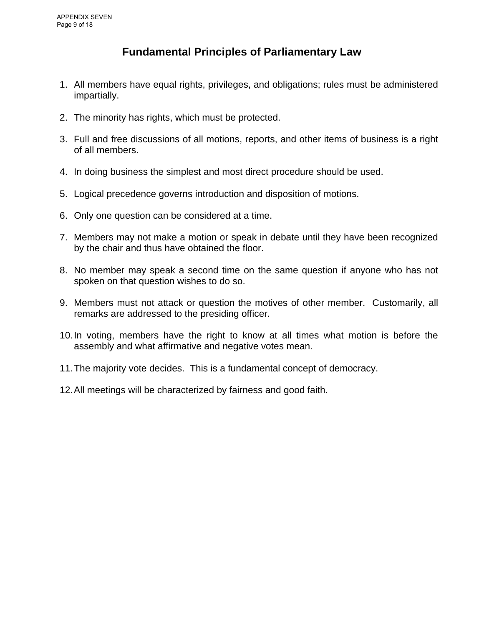# **Fundamental Principles of Parliamentary Law**

- 1. All members have equal rights, privileges, and obligations; rules must be administered impartially.
- 2. The minority has rights, which must be protected.
- 3. Full and free discussions of all motions, reports, and other items of business is a right of all members.
- 4. In doing business the simplest and most direct procedure should be used.
- 5. Logical precedence governs introduction and disposition of motions.
- 6. Only one question can be considered at a time.
- 7. Members may not make a motion or speak in debate until they have been recognized by the chair and thus have obtained the floor.
- 8. No member may speak a second time on the same question if anyone who has not spoken on that question wishes to do so.
- 9. Members must not attack or question the motives of other member. Customarily, all remarks are addressed to the presiding officer.
- 10. In voting, members have the right to know at all times what motion is before the assembly and what affirmative and negative votes mean.
- 11. The majority vote decides. This is a fundamental concept of democracy.
- 12. All meetings will be characterized by fairness and good faith.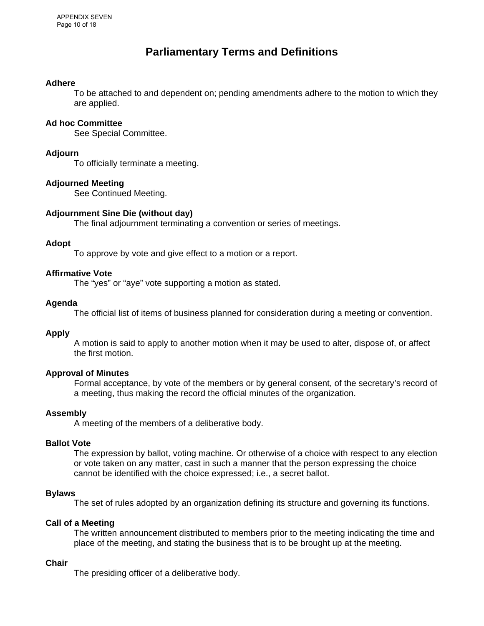# **Parliamentary Terms and Definitions**

## **Adhere**

To be attached to and dependent on; pending amendments adhere to the motion to which they are applied.

## **Ad hoc Committee**

See Special Committee.

## **Adjourn**

To officially terminate a meeting.

## **Adjourned Meeting**

See Continued Meeting.

## **Adjournment Sine Die (without day)**

The final adjournment terminating a convention or series of meetings.

## **Adopt**

To approve by vote and give effect to a motion or a report.

## **Affirmative Vote**

The "yes" or "aye" vote supporting a motion as stated.

## **Agenda**

The official list of items of business planned for consideration during a meeting or convention.

## **Apply**

A motion is said to apply to another motion when it may be used to alter, dispose of, or affect the first motion.

## **Approval of Minutes**

Formal acceptance, by vote of the members or by general consent, of the secretary's record of a meeting, thus making the record the official minutes of the organization.

## **Assembly**

A meeting of the members of a deliberative body.

## **Ballot Vote**

The expression by ballot, voting machine. Or otherwise of a choice with respect to any election or vote taken on any matter, cast in such a manner that the person expressing the choice cannot be identified with the choice expressed; i.e., a secret ballot.

## **Bylaws**

The set of rules adopted by an organization defining its structure and governing its functions.

## **Call of a Meeting**

The written announcement distributed to members prior to the meeting indicating the time and place of the meeting, and stating the business that is to be brought up at the meeting.

## **Chair**

The presiding officer of a deliberative body.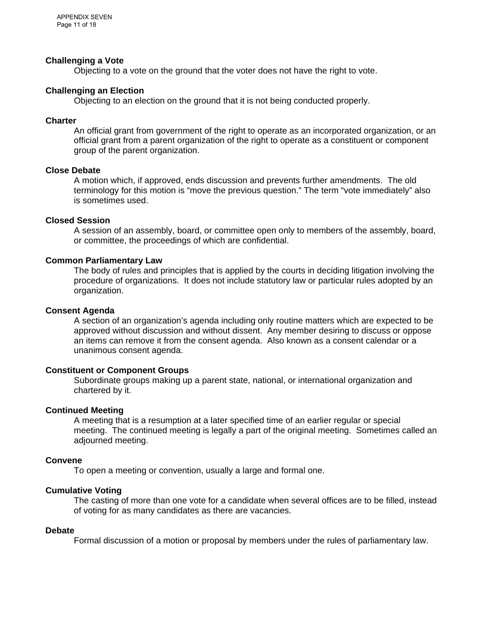## **Challenging a Vote**

Objecting to a vote on the ground that the voter does not have the right to vote.

## **Challenging an Election**

Objecting to an election on the ground that it is not being conducted properly.

## **Charter**

An official grant from government of the right to operate as an incorporated organization, or an official grant from a parent organization of the right to operate as a constituent or component group of the parent organization.

## **Close Debate**

A motion which, if approved, ends discussion and prevents further amendments. The old terminology for this motion is "move the previous question." The term "vote immediately" also is sometimes used.

## **Closed Session**

A session of an assembly, board, or committee open only to members of the assembly, board, or committee, the proceedings of which are confidential.

## **Common Parliamentary Law**

The body of rules and principles that is applied by the courts in deciding litigation involving the procedure of organizations. It does not include statutory law or particular rules adopted by an organization.

## **Consent Agenda**

A section of an organization's agenda including only routine matters which are expected to be approved without discussion and without dissent. Any member desiring to discuss or oppose an items can remove it from the consent agenda. Also known as a consent calendar or a unanimous consent agenda.

## **Constituent or Component Groups**

Subordinate groups making up a parent state, national, or international organization and chartered by it.

## **Continued Meeting**

A meeting that is a resumption at a later specified time of an earlier regular or special meeting. The continued meeting is legally a part of the original meeting. Sometimes called an adjourned meeting.

## **Convene**

To open a meeting or convention, usually a large and formal one.

## **Cumulative Voting**

The casting of more than one vote for a candidate when several offices are to be filled, instead of voting for as many candidates as there are vacancies.

## **Debate**

Formal discussion of a motion or proposal by members under the rules of parliamentary law.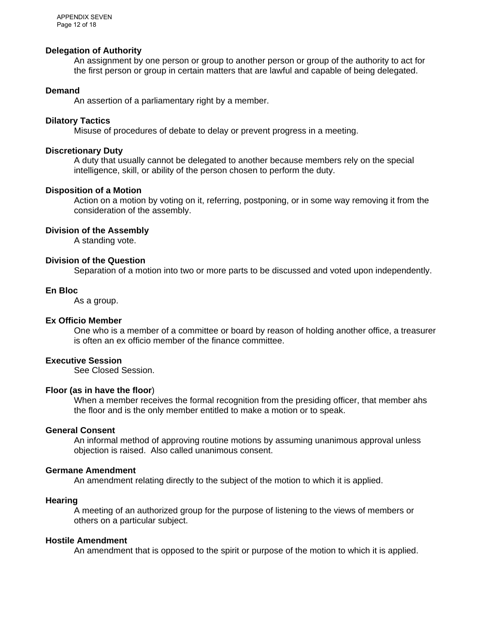## **Delegation of Authority**

An assignment by one person or group to another person or group of the authority to act for the first person or group in certain matters that are lawful and capable of being delegated.

## **Demand**

An assertion of a parliamentary right by a member.

## **Dilatory Tactics**

Misuse of procedures of debate to delay or prevent progress in a meeting.

## **Discretionary Duty**

A duty that usually cannot be delegated to another because members rely on the special intelligence, skill, or ability of the person chosen to perform the duty.

## **Disposition of a Motion**

Action on a motion by voting on it, referring, postponing, or in some way removing it from the consideration of the assembly.

## **Division of the Assembly**

A standing vote.

## **Division of the Question**

Separation of a motion into two or more parts to be discussed and voted upon independently.

## **En Bloc**

As a group.

## **Ex Officio Member**

One who is a member of a committee or board by reason of holding another office, a treasurer is often an ex officio member of the finance committee.

## **Executive Session**

See Closed Session.

## **Floor (as in have the floor**)

When a member receives the formal recognition from the presiding officer, that member ahs the floor and is the only member entitled to make a motion or to speak.

## **General Consent**

An informal method of approving routine motions by assuming unanimous approval unless objection is raised. Also called unanimous consent.

## **Germane Amendment**

An amendment relating directly to the subject of the motion to which it is applied.

## **Hearing**

A meeting of an authorized group for the purpose of listening to the views of members or others on a particular subject.

## **Hostile Amendment**

An amendment that is opposed to the spirit or purpose of the motion to which it is applied.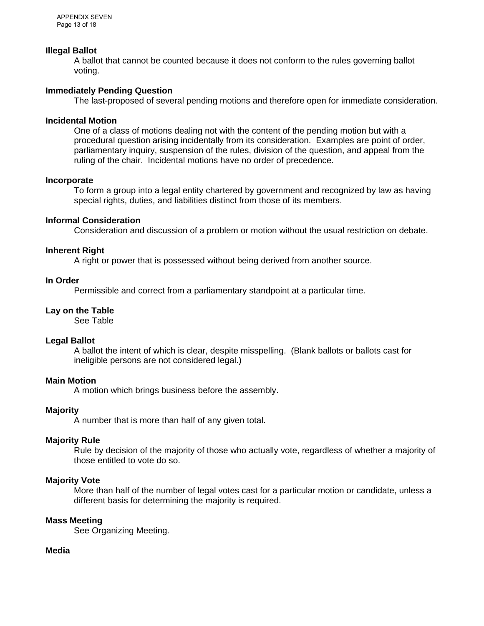## **Illegal Ballot**

A ballot that cannot be counted because it does not conform to the rules governing ballot voting.

## **Immediately Pending Question**

The last-proposed of several pending motions and therefore open for immediate consideration.

## **Incidental Motion**

One of a class of motions dealing not with the content of the pending motion but with a procedural question arising incidentally from its consideration. Examples are point of order, parliamentary inquiry, suspension of the rules, division of the question, and appeal from the ruling of the chair. Incidental motions have no order of precedence.

## **Incorporate**

To form a group into a legal entity chartered by government and recognized by law as having special rights, duties, and liabilities distinct from those of its members.

## **Informal Consideration**

Consideration and discussion of a problem or motion without the usual restriction on debate.

## **Inherent Right**

A right or power that is possessed without being derived from another source.

## **In Order**

Permissible and correct from a parliamentary standpoint at a particular time.

## **Lay on the Table**

See Table

## **Legal Ballot**

A ballot the intent of which is clear, despite misspelling. (Blank ballots or ballots cast for ineligible persons are not considered legal.)

## **Main Motion**

A motion which brings business before the assembly.

# **Majority**

A number that is more than half of any given total.

# **Majority Rule**

Rule by decision of the majority of those who actually vote, regardless of whether a majority of those entitled to vote do so.

## **Majority Vote**

More than half of the number of legal votes cast for a particular motion or candidate, unless a different basis for determining the majority is required.

## **Mass Meeting**

See Organizing Meeting.

## **Media**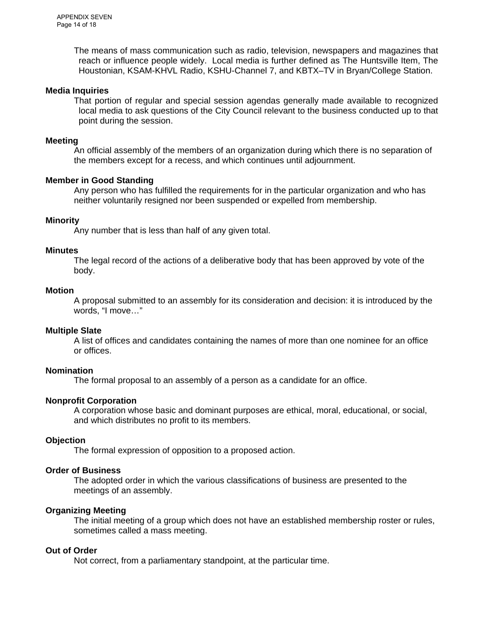The means of mass communication such as radio, television, newspapers and magazines that reach or influence people widely. Local media is further defined as The Huntsville Item, The Houstonian, KSAM-KHVL Radio, KSHU-Channel 7, and KBTX–TV in Bryan/College Station.

## **Media Inquiries**

That portion of regular and special session agendas generally made available to recognized local media to ask questions of the City Council relevant to the business conducted up to that point during the session.

## **Meeting**

An official assembly of the members of an organization during which there is no separation of the members except for a recess, and which continues until adjournment.

## **Member in Good Standing**

Any person who has fulfilled the requirements for in the particular organization and who has neither voluntarily resigned nor been suspended or expelled from membership.

## **Minority**

Any number that is less than half of any given total.

## **Minutes**

The legal record of the actions of a deliberative body that has been approved by vote of the body.

## **Motion**

A proposal submitted to an assembly for its consideration and decision: it is introduced by the words, "I move…"

## **Multiple Slate**

A list of offices and candidates containing the names of more than one nominee for an office or offices.

## **Nomination**

The formal proposal to an assembly of a person as a candidate for an office.

## **Nonprofit Corporation**

A corporation whose basic and dominant purposes are ethical, moral, educational, or social, and which distributes no profit to its members.

## **Objection**

The formal expression of opposition to a proposed action.

## **Order of Business**

The adopted order in which the various classifications of business are presented to the meetings of an assembly.

## **Organizing Meeting**

The initial meeting of a group which does not have an established membership roster or rules, sometimes called a mass meeting.

## **Out of Order**

Not correct, from a parliamentary standpoint, at the particular time.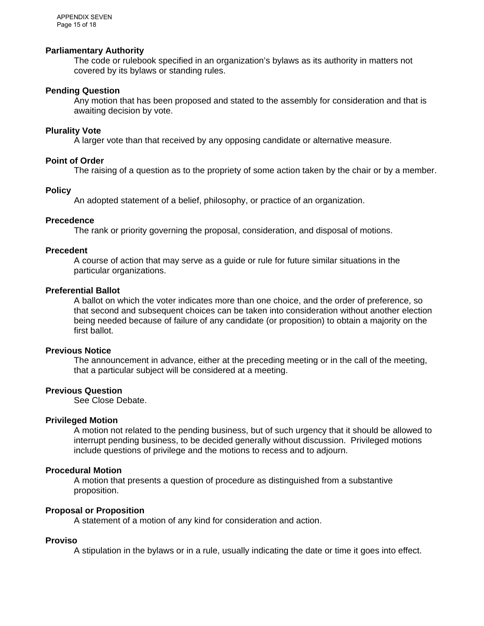## **Parliamentary Authority**

The code or rulebook specified in an organization's bylaws as its authority in matters not covered by its bylaws or standing rules.

## **Pending Question**

Any motion that has been proposed and stated to the assembly for consideration and that is awaiting decision by vote.

## **Plurality Vote**

A larger vote than that received by any opposing candidate or alternative measure.

## **Point of Order**

The raising of a question as to the propriety of some action taken by the chair or by a member.

## **Policy**

An adopted statement of a belief, philosophy, or practice of an organization.

## **Precedence**

The rank or priority governing the proposal, consideration, and disposal of motions.

## **Precedent**

A course of action that may serve as a guide or rule for future similar situations in the particular organizations.

## **Preferential Ballot**

A ballot on which the voter indicates more than one choice, and the order of preference, so that second and subsequent choices can be taken into consideration without another election being needed because of failure of any candidate (or proposition) to obtain a majority on the first ballot.

## **Previous Notice**

The announcement in advance, either at the preceding meeting or in the call of the meeting, that a particular subject will be considered at a meeting.

## **Previous Question**

See Close Debate.

## **Privileged Motion**

A motion not related to the pending business, but of such urgency that it should be allowed to interrupt pending business, to be decided generally without discussion. Privileged motions include questions of privilege and the motions to recess and to adjourn.

## **Procedural Motion**

A motion that presents a question of procedure as distinguished from a substantive proposition.

## **Proposal or Proposition**

A statement of a motion of any kind for consideration and action.

# **Proviso**

A stipulation in the bylaws or in a rule, usually indicating the date or time it goes into effect.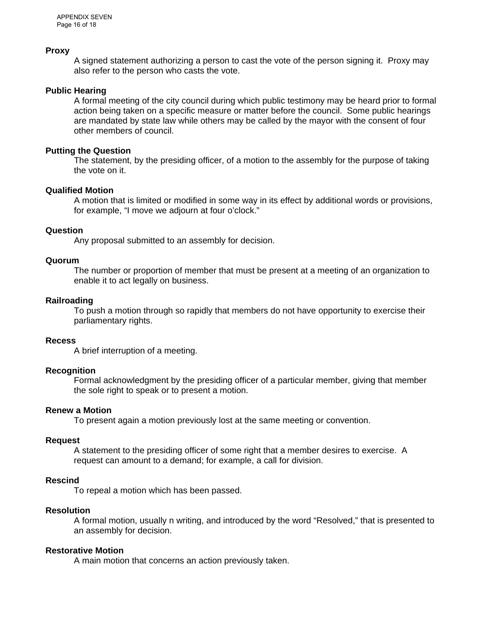## **Proxy**

A signed statement authorizing a person to cast the vote of the person signing it. Proxy may also refer to the person who casts the vote.

## **Public Hearing**

 A formal meeting of the city council during which public testimony may be heard prior to formal action being taken on a specific measure or matter before the council. Some public hearings are mandated by state law while others may be called by the mayor with the consent of four other members of council.

## **Putting the Question**

The statement, by the presiding officer, of a motion to the assembly for the purpose of taking the vote on it.

## **Qualified Motion**

A motion that is limited or modified in some way in its effect by additional words or provisions, for example, "I move we adjourn at four o'clock."

## **Question**

Any proposal submitted to an assembly for decision.

## **Quorum**

The number or proportion of member that must be present at a meeting of an organization to enable it to act legally on business.

## **Railroading**

To push a motion through so rapidly that members do not have opportunity to exercise their parliamentary rights.

## **Recess**

A brief interruption of a meeting.

## **Recognition**

Formal acknowledgment by the presiding officer of a particular member, giving that member the sole right to speak or to present a motion.

## **Renew a Motion**

To present again a motion previously lost at the same meeting or convention.

## **Request**

A statement to the presiding officer of some right that a member desires to exercise. A request can amount to a demand; for example, a call for division.

## **Rescind**

To repeal a motion which has been passed.

## **Resolution**

A formal motion, usually n writing, and introduced by the word "Resolved," that is presented to an assembly for decision.

## **Restorative Motion**

A main motion that concerns an action previously taken.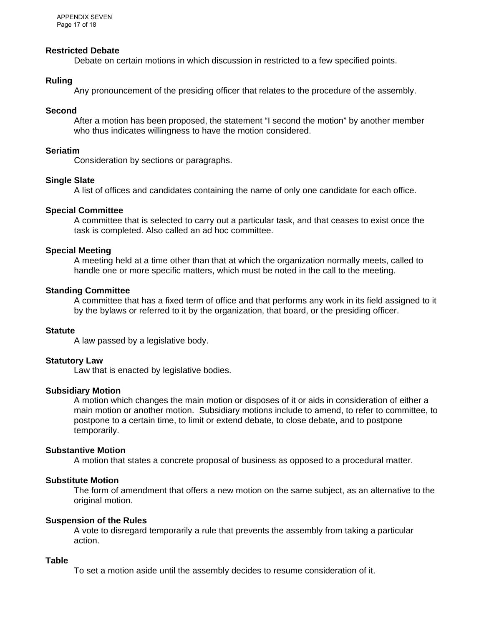APPENDIX SEVEN Page 17 of 18

## **Restricted Debate**

Debate on certain motions in which discussion in restricted to a few specified points.

## **Ruling**

Any pronouncement of the presiding officer that relates to the procedure of the assembly.

## **Second**

After a motion has been proposed, the statement "I second the motion" by another member who thus indicates willingness to have the motion considered.

## **Seriatim**

Consideration by sections or paragraphs.

## **Single Slate**

A list of offices and candidates containing the name of only one candidate for each office.

## **Special Committee**

A committee that is selected to carry out a particular task, and that ceases to exist once the task is completed. Also called an ad hoc committee.

## **Special Meeting**

A meeting held at a time other than that at which the organization normally meets, called to handle one or more specific matters, which must be noted in the call to the meeting.

## **Standing Committee**

A committee that has a fixed term of office and that performs any work in its field assigned to it by the bylaws or referred to it by the organization, that board, or the presiding officer.

## **Statute**

A law passed by a legislative body.

## **Statutory Law**

Law that is enacted by legislative bodies.

## **Subsidiary Motion**

A motion which changes the main motion or disposes of it or aids in consideration of either a main motion or another motion. Subsidiary motions include to amend, to refer to committee, to postpone to a certain time, to limit or extend debate, to close debate, and to postpone temporarily.

## **Substantive Motion**

A motion that states a concrete proposal of business as opposed to a procedural matter.

## **Substitute Motion**

The form of amendment that offers a new motion on the same subject, as an alternative to the original motion.

## **Suspension of the Rules**

A vote to disregard temporarily a rule that prevents the assembly from taking a particular action.

## **Table**

To set a motion aside until the assembly decides to resume consideration of it.